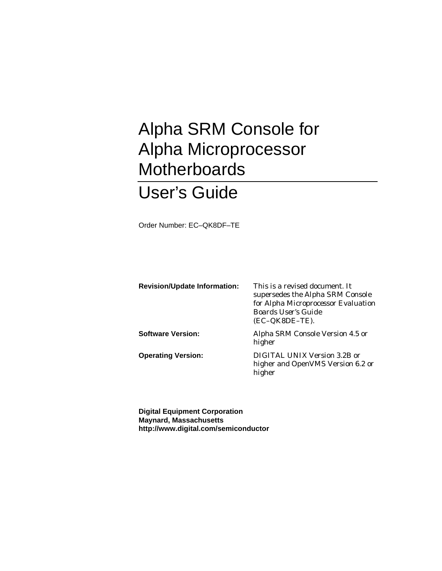# Alpha SRM Console for Alpha Microprocessor **Motherboards**

# User's Guide

Order Number: EC–QK8DF–TE

| <b>Revision/Update Information:</b> | This is a revised document. It<br>supersedes the Alpha SRM Console<br>for Alpha Microprocessor Evaluation<br><b>Boards User's Guide</b><br>$(EC-QK8DE-TE).$ |
|-------------------------------------|-------------------------------------------------------------------------------------------------------------------------------------------------------------|
| <b>Software Version:</b>            | Alpha SRM Console Version 4.5 or<br>higher                                                                                                                  |
| <b>Operating Version:</b>           | DIGITAL UNIX Version 3.2B or<br>higher and OpenVMS Version 6.2 or<br>higher                                                                                 |

**Digital Equipment Corporation Maynard, Massachusetts http://www.digital.com/semiconductor**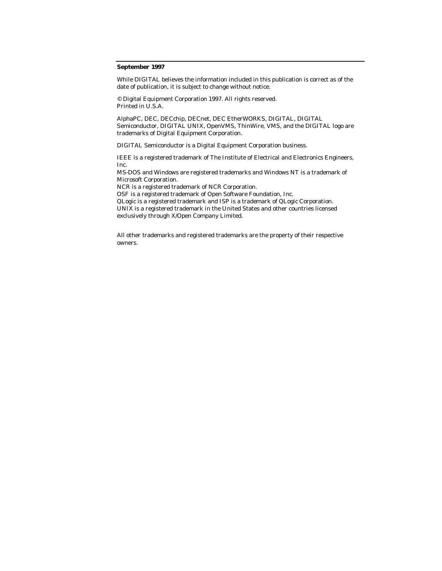#### **September 1997**

While DIGITAL believes the information included in this publication is correct as of the date of publication, it is subject to change without notice.

© Digital Equipment Corporation 1997. All rights reserved. Printed in U.S.A.

AlphaPC, DEC, DECchip, DECnet, DEC EtherWORKS, DIGITAL, DIGITAL Semiconductor, DIGITAL UNIX, OpenVMS, ThinWire, VMS, and the DIGITAL logo are trademarks of Digital Equipment Corporation.

DIGITAL Semiconductor is a Digital Equipment Corporation business.

IEEE is a registered trademark of The Institute of Electrical and Electronics Engineers, Inc.

MS-DOS and Windows are registered trademarks and Windows NT is a trademark of Microsoft Corporation.

NCR is a registered trademark of NCR Corporation.

OSF is a registered trademark of Open Software Foundation, Inc.

QLogic is a registered trademark and ISP is a trademark of QLogic Corporation.

UNIX is a registered trademark in the United States and other countries licensed exclusively through X/Open Company Limited.

All other trademarks and registered trademarks are the property of their respective owners.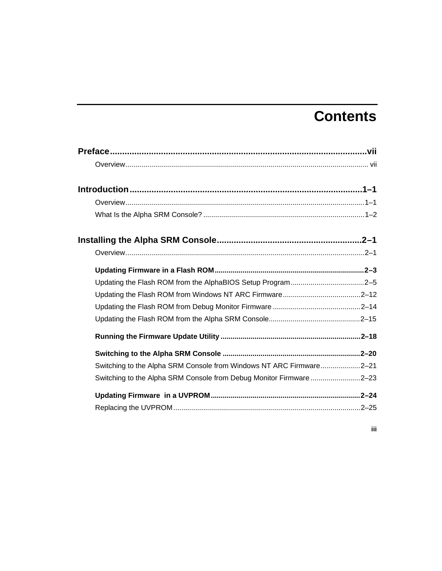# **Contents**

| Updating the Flash ROM from the AlphaBIOS Setup Program2-5          |  |
|---------------------------------------------------------------------|--|
|                                                                     |  |
|                                                                     |  |
|                                                                     |  |
|                                                                     |  |
|                                                                     |  |
| Switching to the Alpha SRM Console from Windows NT ARC Firmware2-21 |  |
| Switching to the Alpha SRM Console from Debug Monitor Firmware 2-23 |  |
|                                                                     |  |
|                                                                     |  |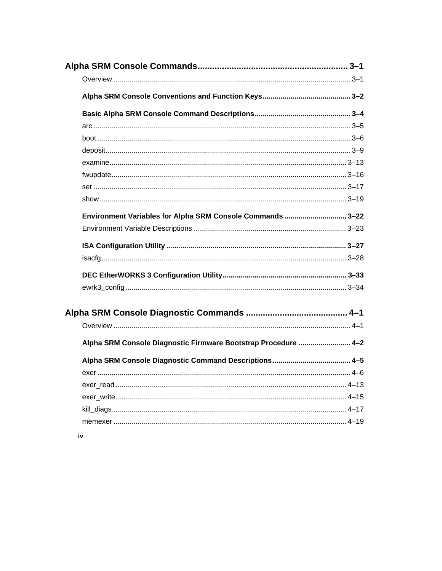| Environment Variables for Alpha SRM Console Commands  3-22     |  |
|----------------------------------------------------------------|--|
|                                                                |  |
|                                                                |  |
|                                                                |  |
|                                                                |  |
|                                                                |  |
|                                                                |  |
|                                                                |  |
|                                                                |  |
|                                                                |  |
| Alpha SRM Console Diagnostic Firmware Bootstrap Procedure  4-2 |  |
|                                                                |  |
|                                                                |  |
|                                                                |  |
|                                                                |  |
|                                                                |  |
|                                                                |  |
|                                                                |  |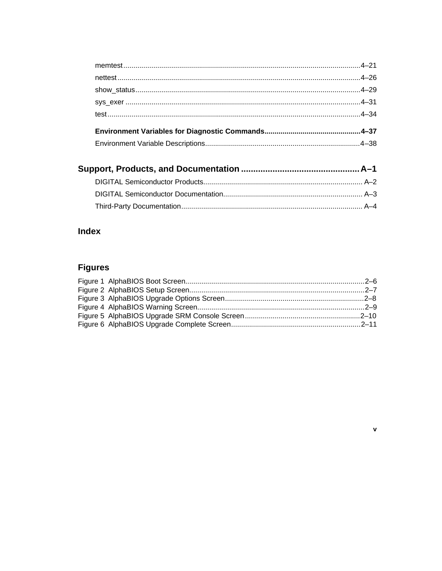## Index

## **Figures**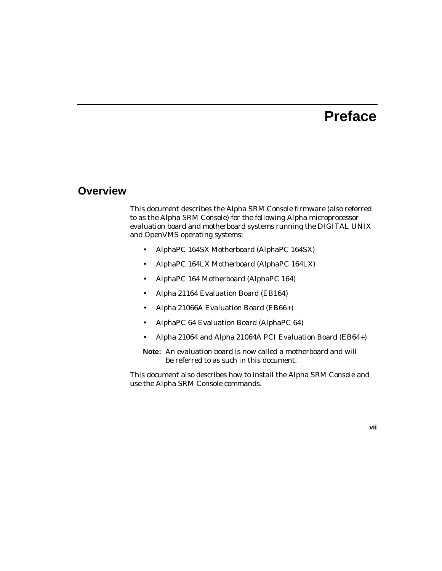## **Preface**

### **Overview**

This document describes the Alpha SRM Console firmware (also referred to as the Alpha SRM Console) for the following Alpha microprocessor evaluation board and motherboard systems running the DIGITAL UNIX and OpenVMS operating systems:

- AlphaPC 164SX Motherboard (AlphaPC 164SX)
- AlphaPC 164LX Motherboard (AlphaPC 164LX)
- AlphaPC 164 Motherboard (AlphaPC 164)
- Alpha 21164 Evaluation Board (EB164)
- Alpha 21066A Evaluation Board (EB66+)
- AlphaPC 64 Evaluation Board (AlphaPC 64)
- Alpha 21064 and Alpha 21064A PCI Evaluation Board (EB64+)

**Note:** An evaluation board is now called a motherboard and will be referred to as such in this document.

This document also describes how to install the Alpha SRM Console and use the Alpha SRM Console commands.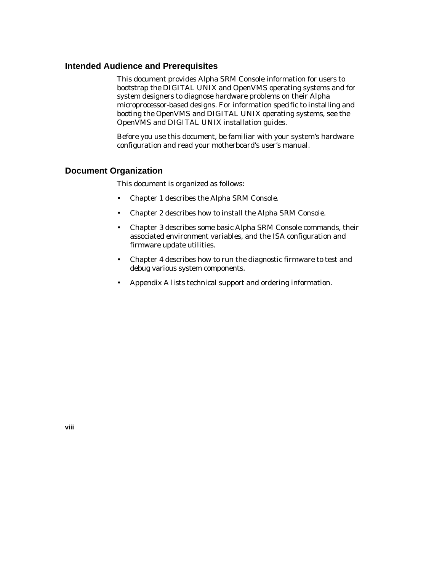#### **Intended Audience and Prerequisites**

This document provides Alpha SRM Console information for users to bootstrap the DIGITAL UNIX and OpenVMS operating systems and for system designers to diagnose hardware problems on their Alpha microprocessor-based designs. For information specific to installing and booting the OpenVMS and DIGITAL UNIX operating systems, see the OpenVMS and DIGITAL UNIX installation guides.

Before you use this document, be familiar with your system's hardware configuration and read your motherboard's user's manual.

#### **Document Organization**

This document is organized as follows:

- Chapter 1 describes the Alpha SRM Console.
- Chapter 2 describes how to install the Alpha SRM Console.
- Chapter 3 describes some basic Alpha SRM Console commands, their associated environment variables, and the ISA configuration and firmware update utilities.
- Chapter 4 describes how to run the diagnostic firmware to test and debug various system components.
- Appendix A lists technical support and ordering information.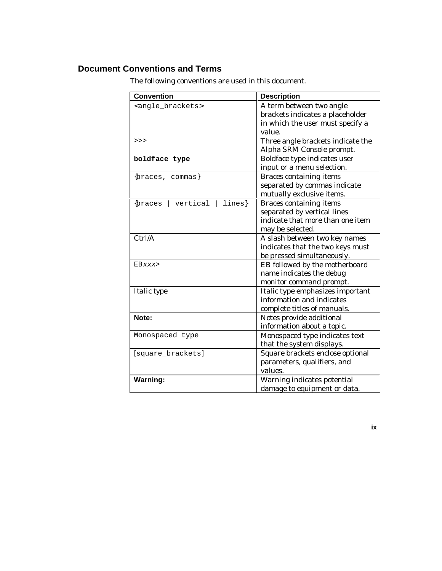#### **Document Conventions and Terms**

The following conventions are used in this document.

| <b>Convention</b>                           | <b>Description</b>                |
|---------------------------------------------|-----------------------------------|
| <angle_brackets></angle_brackets>           | A term between two angle          |
|                                             | brackets indicates a placeholder  |
|                                             | in which the user must specify a  |
|                                             | value.                            |
| >>                                          | Three angle brackets indicate the |
|                                             | Alpha SRM Console prompt.         |
| boldface type                               | Boldface type indicates user      |
|                                             | input or a menu selection.        |
| {braces, commas}                            | <b>Braces containing items</b>    |
|                                             | separated by commas indicate      |
|                                             | mutually exclusive items.         |
| lines}<br><i><b>{braces</b></i><br>vertical | <b>Braces containing items</b>    |
|                                             | separated by vertical lines       |
|                                             | indicate that more than one item  |
|                                             | may be selected.                  |
| Ctrl/A                                      | A slash between two key names     |
|                                             | indicates that the two keys must  |
|                                             | be pressed simultaneously.        |
| EBxxx>                                      | EB followed by the motherboard    |
|                                             | name indicates the debug          |
|                                             | monitor command prompt.           |
| Italic type                                 | Italic type emphasizes important  |
|                                             | information and indicates         |
|                                             | complete titles of manuals.       |
| Note:                                       | Notes provide additional          |
|                                             | information about a topic.        |
| Monospaced type                             | Monospaced type indicates text    |
|                                             | that the system displays.         |
| [square_brackets]                           | Square brackets enclose optional  |
|                                             | parameters, qualifiers, and       |
|                                             | values.                           |
| <b>Warning:</b>                             | Warning indicates potential       |
|                                             | damage to equipment or data.      |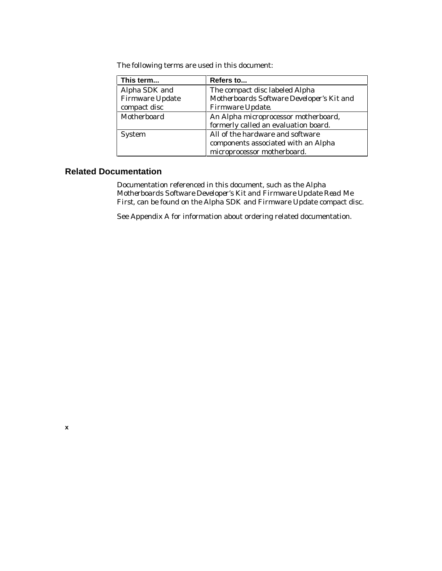The following terms are used in this document:

| This term              | Refers to                                 |  |
|------------------------|-------------------------------------------|--|
| Alpha SDK and          | The compact disc labeled Alpha            |  |
| <b>Firmware Update</b> | Motherboards Software Developer's Kit and |  |
| compact disc           | Firmware Update.                          |  |
| Motherboard            | An Alpha microprocessor motherboard,      |  |
|                        | formerly called an evaluation board.      |  |
| <b>System</b>          | All of the hardware and software          |  |
|                        | components associated with an Alpha       |  |
|                        | microprocessor motherboard.               |  |

#### **Related Documentation**

Documentation referenced in this document, such as the *Alpha Motherboards Software Developer's Kit and Firmware Update Read Me First,* can be found on the Alpha SDK and Firmware Update compact disc*.*

See Appendix A for information about ordering related documentation.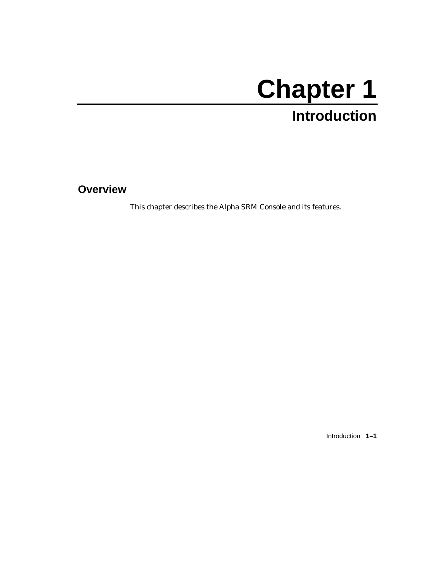# **Chapter 1**

# **Introduction**

**Overview**

This chapter describes the Alpha SRM Console and its features.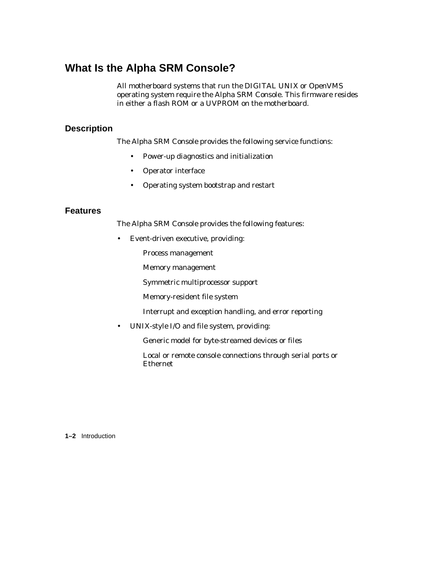## **What Is the Alpha SRM Console?**

All motherboard systems that run the DIGITAL UNIX or OpenVMS operating system require the Alpha SRM Console. This firmware resides in either a flash ROM or a UVPROM on the motherboard.

#### **Description**

The Alpha SRM Console provides the following service functions:

- Power-up diagnostics and initialization
- Operator interface
- Operating system bootstrap and restart

#### **Features**

The Alpha SRM Console provides the following features:

- Event-driven executive, providing:
	- Process management
	- Memory management
	- Symmetric multiprocessor support
	- Memory-resident file system
	- $-$  Interrupt and exception handling, and error reporting
- UNIX-style I/O and file system, providing:
	- Generic model for byte-streamed devices or files
	- Local or remote console connections through serial ports or Ethernet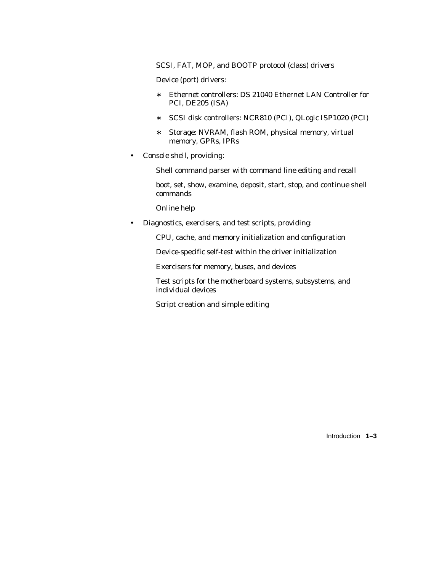- SCSI, FAT, MOP, and BOOTP protocol (class) drivers
- Device (port) drivers:
	- ∗ Ethernet controllers: DS 21040 Ethernet LAN Controller for PCI, DE205 (ISA)
	- ∗ SCSI disk controllers: NCR810 (PCI), QLogic ISP1020 (PCI)
	- ∗ Storage: NVRAM, flash ROM, physical memory, virtual memory, GPRs, IPRs
- Console shell, providing:
	- Shell command parser with command line editing and recall
	- boot, set, show, examine, deposit, start, stop, and continue shell commands
	- Online help
- Diagnostics, exercisers, and test scripts, providing:
	- CPU, cache, and memory initialization and configuration
	- Device-specific self-test within the driver initialization
	- Exercisers for memory, buses, and devices
	- Test scripts for the motherboard systems, subsystems, and individual devices
	- Script creation and simple editing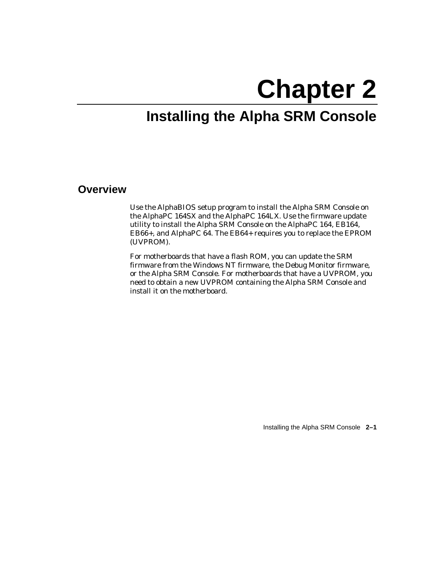# **Chapter 2**

# **Installing the Alpha SRM Console**

### **Overview**

Use the AlphaBIOS setup program to install the Alpha SRM Console on the AlphaPC 164SX and the AlphaPC 164LX. Use the firmware update utility to install the Alpha SRM Console on the AlphaPC 164, EB164, EB66+, and AlphaPC 64. The EB64+ requires you to replace the EPROM (UVPROM).

For motherboards that have a flash ROM, you can update the SRM firmware from the Windows NT firmware, the Debug Monitor firmware, or the Alpha SRM Console. For motherboards that have a UVPROM, you need to obtain a new UVPROM containing the Alpha SRM Console and install it on the motherboard.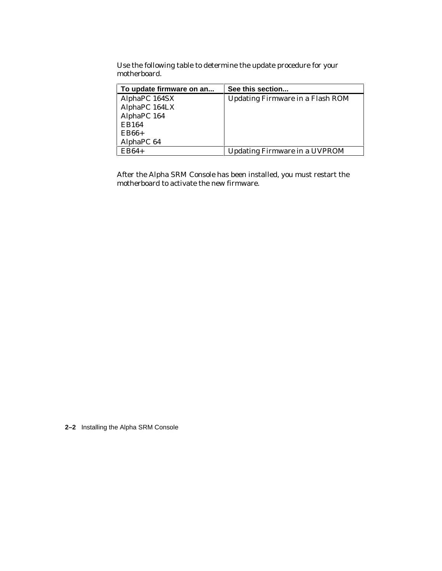Use the following table to determine the update procedure for your motherboard.

| To update firmware on an | See this section                        |
|--------------------------|-----------------------------------------|
| AlphaPC 164SX            | <b>Updating Firmware in a Flash ROM</b> |
| AlphaPC 164LX            |                                         |
| AlphaPC 164              |                                         |
| EB164                    |                                         |
| $EB66+$                  |                                         |
| AlphaPC 64               |                                         |
| $EB64+$                  | <b>Updating Firmware in a UVPROM</b>    |

After the Alpha SRM Console has been installed, you must restart the motherboard to activate the new firmware.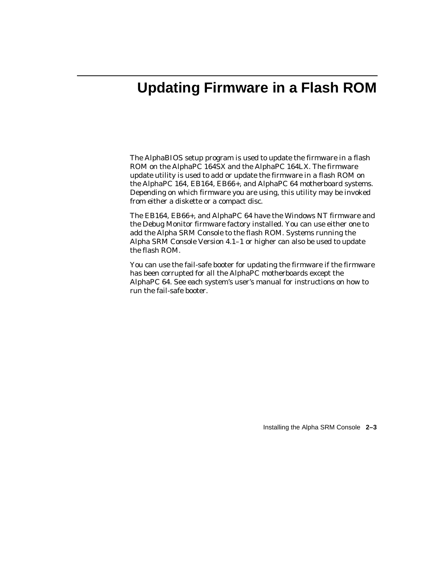# **Updating Firmware in a Flash ROM**

The AlphaBIOS setup program is used to update the firmware in a flash ROM on the AlphaPC 164SX and the AlphaPC 164LX. The firmware update utility is used to add or update the firmware in a flash ROM on the AlphaPC 164, EB164, EB66+, and AlphaPC 64 motherboard systems. Depending on which firmware you are using, this utility may be invoked from either a diskette or a compact disc.

The EB164, EB66+, and AlphaPC 64 have the Windows NT firmware and the Debug Monitor firmware factory installed. You can use either one to add the Alpha SRM Console to the flash ROM. Systems running the Alpha SRM Console Version 4.1–1 or higher can also be used to update the flash ROM.

You can use the fail-safe booter for updating the firmware if the firmware has been corrupted for all the AlphaPC motherboards except the AlphaPC 64. See each system's user's manual for instructions on how to run the fail-safe booter.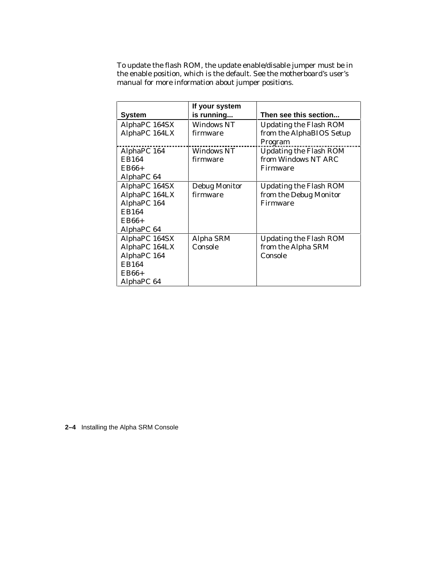To update the flash ROM, the update enable/disable jumper must be in the enable position, which is the default. See the motherboard's user's manual for more information about jumper positions.

|               | If your system       |                               |
|---------------|----------------------|-------------------------------|
| <b>System</b> | is running           | Then see this section         |
| AlphaPC 164SX | <b>Windows NT</b>    | <b>Updating the Flash ROM</b> |
| AlphaPC 164LX | firmware             | from the AlphaBIOS Setup      |
|               |                      | Program                       |
| AlphaPC 164   | <b>Windows NT</b>    | <b>Updating the Flash ROM</b> |
| <b>EB164</b>  | firmware             | from Windows NT ARC           |
| $EB66+$       |                      | Firmware                      |
| AlphaPC 64    |                      |                               |
| AlphaPC 164SX | <b>Debug Monitor</b> | <b>Updating the Flash ROM</b> |
| AlphaPC 164LX | firmware             | from the Debug Monitor        |
| AlphaPC 164   |                      | Firmware                      |
| EB164         |                      |                               |
| $EB66+$       |                      |                               |
| AlphaPC 64    |                      |                               |
| AlphaPC 164SX | Alpha SRM            | <b>Updating the Flash ROM</b> |
| AlphaPC 164LX | Console              | from the Alpha SRM            |
| AlphaPC 164   |                      | Console                       |
| EB164         |                      |                               |
| $EB66+$       |                      |                               |
| AlphaPC 64    |                      |                               |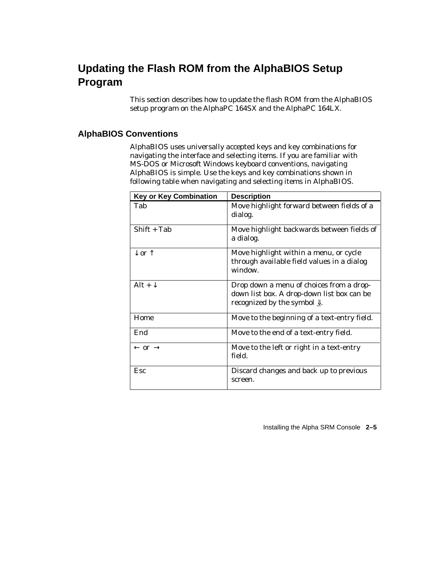## **Updating the Flash ROM from the AlphaBIOS Setup Program**

This section describes how to update the flash ROM from the AlphaBIOS setup program on the AlphaPC 164SX and the AlphaPC 164LX.

#### **AlphaBIOS Conventions**

AlphaBIOS uses universally accepted keys and key combinations for navigating the interface and selecting items. If you are familiar with MS-DOS or Microsoft Windows keyboard conventions, navigating AlphaBIOS is simple. Use the keys and key combinations shown in following table when navigating and selecting items in AlphaBIOS.

| <b>Key or Key Combination</b> | <b>Description</b>                                                                                                                            |
|-------------------------------|-----------------------------------------------------------------------------------------------------------------------------------------------|
| Tab                           | Move highlight forward between fields of a<br>dialog.                                                                                         |
| $Shift + Tab$                 | Move highlight backwards between fields of<br>a dialog.                                                                                       |
| $\downarrow$ or $\uparrow$    | Move highlight within a menu, or cycle<br>through available field values in a dialog<br>window.                                               |
| Alt + $\downarrow$            | Drop down a menu of choices from a drop-<br>down list box. A drop-down list box can be<br>recognized by the symbol $\underline{\Downarrow}$ . |
| Home                          | Move to the beginning of a text-entry field.                                                                                                  |
| End                           | Move to the end of a text-entry field.                                                                                                        |
| $\leftarrow$ or $\rightarrow$ | Move to the left or right in a text-entry<br>field.                                                                                           |
| Esc                           | Discard changes and back up to previous<br>screen.                                                                                            |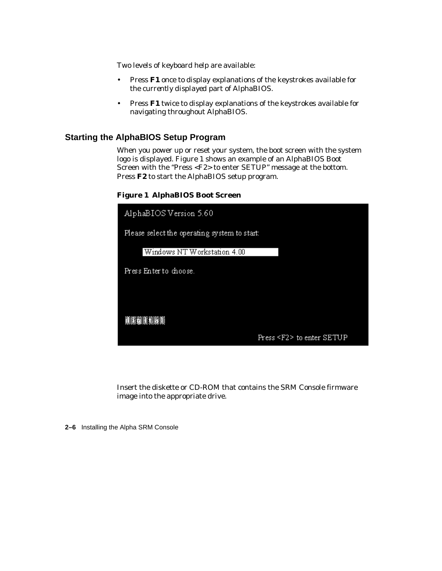Two levels of keyboard help are available:

- Press **F1** once to display explanations of the keystrokes available for the *currently displayed* part of AlphaBIOS.
- Press **F1** twice to display explanations of the keystrokes available for navigating throughout AlphaBIOS.

#### **Starting the AlphaBIOS Setup Program**

When you power up or reset your system, the boot screen with the system logo is displayed. Figure 1 shows an example of an AlphaBIOS Boot Screen with the "Press <F2> to enter SETUP" message at the bottom. Press **F2** to start the AlphaBIOS setup program.

**Figure 1 AlphaBIOS Boot Screen**

| AlphaBIOS Version 5.60                       |                                |
|----------------------------------------------|--------------------------------|
| Please select the operating system to start: |                                |
| Windows NT Workstation 4.00                  |                                |
| Press Enter to choose.                       |                                |
|                                              |                                |
|                                              |                                |
| <b>TEXELLE</b>                               |                                |
|                                              | Press <f2> to enter SETUP</f2> |

Insert the diskette or CD-ROM that contains the SRM Console firmware image into the appropriate drive.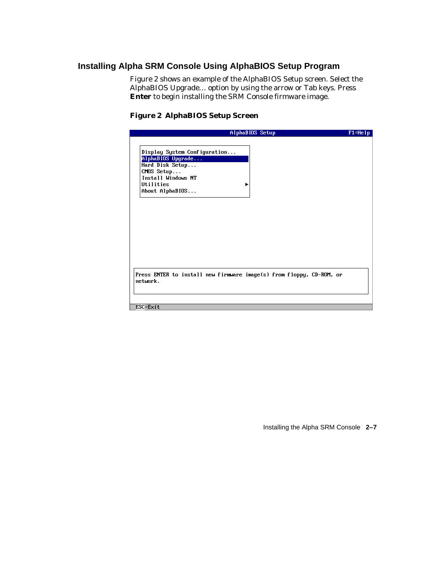#### **Installing Alpha SRM Console Using AlphaBIOS Setup Program**

Figure 2 shows an example of the AlphaBIOS Setup screen. Select the AlphaBIOS Upgrade… option by using the arrow or Tab keys. Press **Enter** to begin installing the SRM Console firmware image.

#### **Figure 2 AlphaBIOS Setup Screen**

|                              | AlphaBIOS Setup                                                      | $F1 = He1p$ |
|------------------------------|----------------------------------------------------------------------|-------------|
|                              |                                                                      |             |
| Display System Configuration |                                                                      |             |
| AlphaBIOS Upgrade            |                                                                      |             |
| Hard Disk Setup              |                                                                      |             |
| $CMOS$ Setup                 |                                                                      |             |
| Install Windows NT           |                                                                      |             |
| <b>Iltilities</b>            |                                                                      |             |
| About AlphaBIOS              |                                                                      |             |
|                              |                                                                      |             |
|                              |                                                                      |             |
|                              |                                                                      |             |
|                              |                                                                      |             |
|                              |                                                                      |             |
|                              |                                                                      |             |
|                              |                                                                      |             |
|                              |                                                                      |             |
|                              |                                                                      |             |
|                              |                                                                      |             |
|                              |                                                                      |             |
|                              |                                                                      |             |
|                              |                                                                      |             |
| network.                     | Press ENTER to install new firmware image(s) from floppy, CD-ROM, or |             |
|                              |                                                                      |             |
|                              |                                                                      |             |
|                              |                                                                      |             |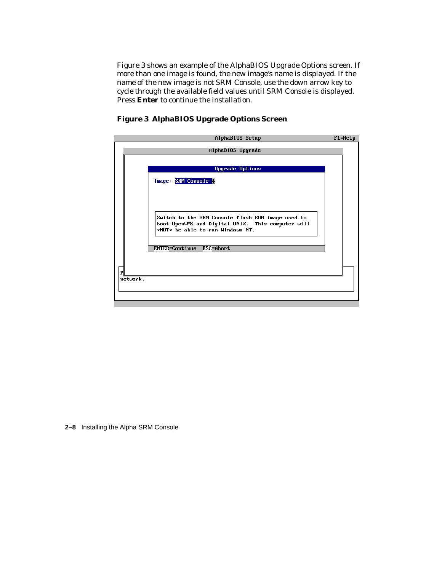Figure 3 shows an example of the AlphaBIOS Upgrade Options screen. If more than one image is found, the new image's name is displayed. If the name of the new image is *not* SRM Console, use the down arrow key to cycle through the available field values until SRM Console is displayed. Press **Enter** to continue the installation.

**Figure 3 AlphaBIOS Upgrade Options Screen**

| AlphaBIOS Setup                                                                                                                                  | $F1 = He1p$ |
|--------------------------------------------------------------------------------------------------------------------------------------------------|-------------|
| AlphaBIOS Upgrade                                                                                                                                |             |
| <b>Upgrade Options</b>                                                                                                                           |             |
|                                                                                                                                                  |             |
| Image: SRM Console !                                                                                                                             |             |
| Switch to the SRM Console flash ROM image used to<br>boot OpenVMS and Digital UNIX. This computer will<br>$*$ NOT $*$ be able to run Windows NT. |             |
| ENTER=Continue ESC=Abort                                                                                                                         |             |
|                                                                                                                                                  |             |
| $\mathbf{P}$                                                                                                                                     |             |
| network.                                                                                                                                         |             |
|                                                                                                                                                  |             |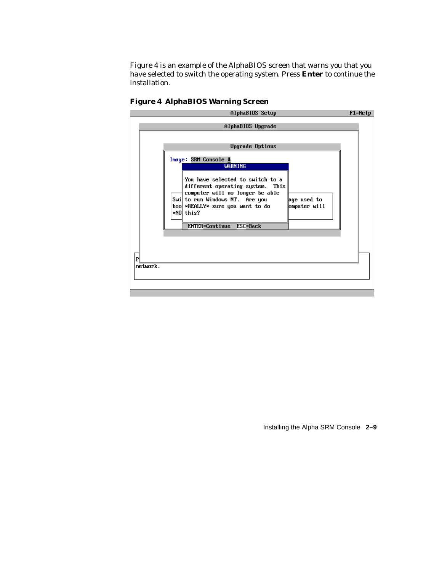Figure 4 is an example of the AlphaBIOS screen that warns you that you have selected to switch the operating system. Press **Enter** to continue the installation.

| AlphaBIOS Setup<br>$F1 = He1p$                                                                                                                                                                                                                                                                                                    |  |  |
|-----------------------------------------------------------------------------------------------------------------------------------------------------------------------------------------------------------------------------------------------------------------------------------------------------------------------------------|--|--|
| AlphaBIOS Upgrade                                                                                                                                                                                                                                                                                                                 |  |  |
| <b>Upgrade Options</b><br>Image: SRM Console <u>↓</u><br><b>WARNING</b><br>You have selected to switch to a<br>different operating system. This<br>computer will no longer be able<br>Swill to run Windows NT. Are you<br>age used to<br>boo *REALLY* sure you want to do<br>omputer will<br>*NO this?<br>ENTER=Continue ESC=Back |  |  |
| P                                                                                                                                                                                                                                                                                                                                 |  |  |
| network.                                                                                                                                                                                                                                                                                                                          |  |  |

#### **Figure 4 AlphaBIOS Warning Screen**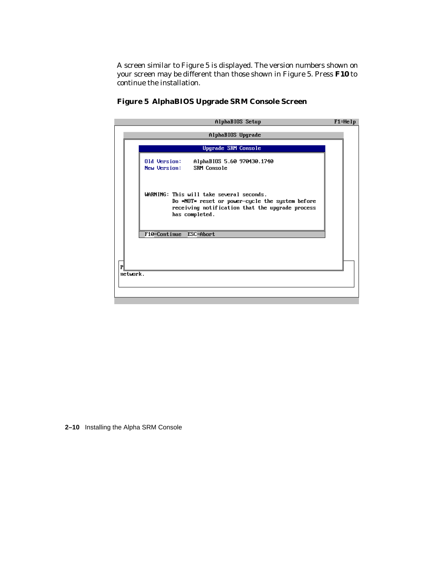A screen similar to Figure 5 is displayed. The version numbers shown on your screen may be different than those shown in Figure 5. Press **F10** to continue the installation.

|   | AlphaBIOS Setup                                                                                                                                                  | $F1 = He1p$ |
|---|------------------------------------------------------------------------------------------------------------------------------------------------------------------|-------------|
|   | AlphaBIOS Upgrade                                                                                                                                                |             |
|   | <b>Upgrade SRM Console</b>                                                                                                                                       |             |
|   | Old Version:<br>AlphaBIOS 5.60 970430.1740<br>SRM Console<br><b>New Version:</b>                                                                                 |             |
|   | WARNING: This will take several seconds.<br>Do *NOT* reset or power-cycle the system before<br>receiving notification that the upgrade process<br>has completed. |             |
|   | F10=Continue ESC=Abort                                                                                                                                           |             |
|   |                                                                                                                                                                  |             |
| P |                                                                                                                                                                  |             |
|   | network.                                                                                                                                                         |             |
|   |                                                                                                                                                                  |             |

#### **Figure 5 AlphaBIOS Upgrade SRM Console Screen**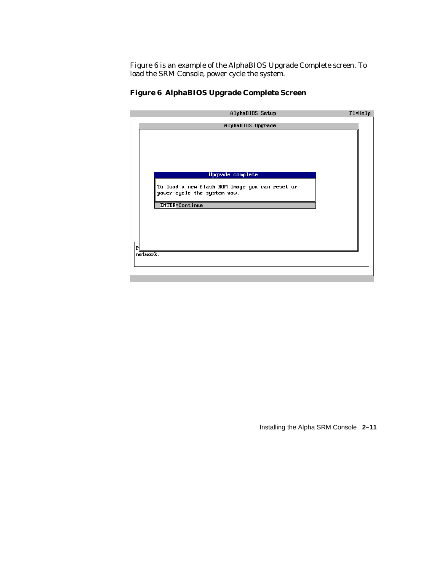Figure 6 is an example of the AlphaBIOS Upgrade Complete screen. To load the SRM Console, power cycle the system.

|              | AlphaBIOS Setup                                | $F1 = He1p$ |
|--------------|------------------------------------------------|-------------|
|              | AlphaBIOS Upgrade                              |             |
|              |                                                |             |
|              |                                                |             |
|              |                                                |             |
|              |                                                |             |
|              |                                                |             |
|              |                                                |             |
|              | Upgrade complete                               |             |
|              |                                                |             |
|              | To load a new flash ROM image you can reset or |             |
|              | power-cycle the system now.                    |             |
|              | <b>ENTER=Continue</b>                          |             |
|              |                                                |             |
|              |                                                |             |
|              |                                                |             |
|              |                                                |             |
|              |                                                |             |
| $\mathbf{P}$ |                                                |             |
|              | network.                                       |             |
|              |                                                |             |
|              |                                                |             |
|              |                                                |             |

#### **Figure 6 AlphaBIOS Upgrade Complete Screen**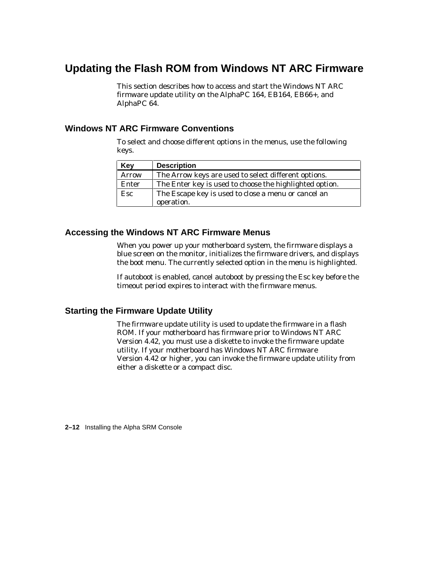## **Updating the Flash ROM from Windows NT ARC Firmware**

This section describes how to access and start the Windows NT ARC firmware update utility on the AlphaPC 164, EB164, EB66+, and AlphaPC 64.

#### **Windows NT ARC Firmware Conventions**

To select and choose different options in the menus, use the following keys.

| Key   | <b>Description</b>                                      |
|-------|---------------------------------------------------------|
| Arrow | The Arrow keys are used to select different options.    |
| Enter | The Enter key is used to choose the highlighted option. |
| Esc   | The Escape key is used to close a menu or cancel an     |
|       | operation.                                              |

#### **Accessing the Windows NT ARC Firmware Menus**

When you power up your motherboard system, the firmware displays a blue screen on the monitor, initializes the firmware drivers, and displays the boot menu. The currently selected option in the menu is highlighted.

If autoboot is enabled, cancel autoboot by pressing the Esc key before the timeout period expires to interact with the firmware menus.

#### **Starting the Firmware Update Utility**

The firmware update utility is used to update the firmware in a flash ROM. If your motherboard has firmware prior to Windows NT ARC Version 4.42, you must use a diskette to invoke the firmware update utility. If your motherboard has Windows NT ARC firmware Version 4.42 or higher, you can invoke the firmware update utility from either a diskette or a compact disc.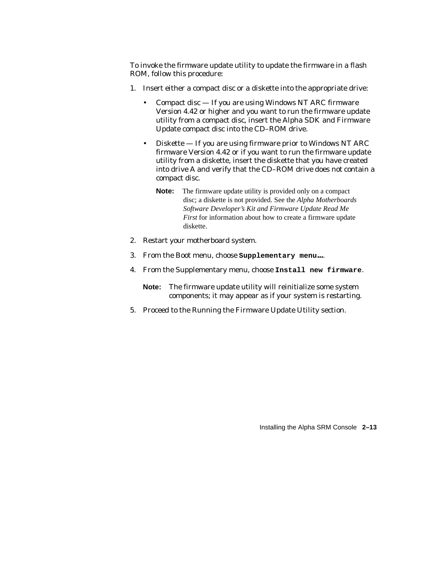To invoke the firmware update utility to update the firmware in a flash ROM, follow this procedure:

- 1. Insert either a compact disc or a diskette into the appropriate drive:
	- Compact disc If you are using Windows NT ARC firmware Version 4.42 or higher and you want to run the firmware update utility from a compact disc, insert the Alpha SDK and Firmware Update compact disc into the CD–ROM drive.
	- Diskette If you are using firmware prior to Windows NT ARC firmware Version 4.42 or if you want to run the firmware update utility from a diskette, insert the diskette that you have created into drive A and verify that the CD–ROM drive does *not* contain a compact disc.
		- **Note:** The firmware update utility is provided only on a compact disc; a diskette is not provided. See the *Alpha Motherboards Software Developer's Kit and Firmware Update Read Me First* for information about how to create a firmware update diskette.
- 2. Restart your motherboard system.
- 3. From the Boot menu, choose **Supplementary menu...**.
- 4. From the Supplementary menu, choose **Install new firmware**.
	- **Note:** The firmware update utility will reinitialize some system components; it may appear as if your system is restarting.
- 5. Proceed to the Running the Firmware Update Utility section.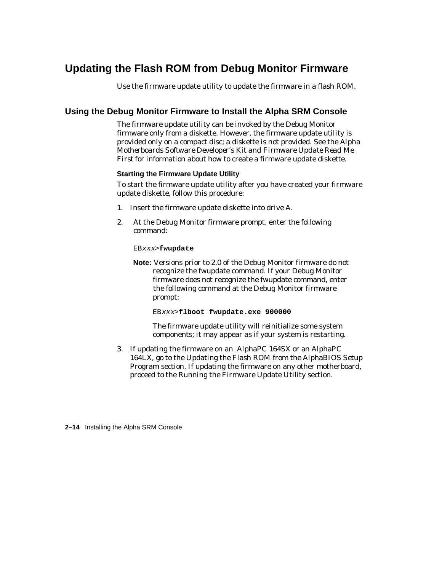## **Updating the Flash ROM from Debug Monitor Firmware**

Use the firmware update utility to update the firmware in a flash ROM.

#### **Using the Debug Monitor Firmware to Install the Alpha SRM Console**

The firmware update utility can be invoked by the Debug Monitor firmware only from a diskette. However, the firmware update utility is provided only on a compact disc; a diskette is not provided. See the *Alpha Motherboards Software Developer's Kit and Firmware Update Read Me First* for information about how to create a firmware update diskette.

#### **Starting the Firmware Update Utility**

To start the firmware update utility after you have created your firmware update diskette, follow this procedure:

- 1. Insert the firmware update diskette into drive A.
- 2. At the Debug Monitor firmware prompt, enter the following command:

#### EBxxx>**fwupdate**

**Note:** Versions prior to 2.0 of the Debug Monitor firmware do not recognize the fwupdate command. If your Debug Monitor firmware does not recognize the fwupdate command, enter the following command at the Debug Monitor firmware prompt:

EBxxx>**flboot fwupdate.exe 900000**

The firmware update utility will reinitialize some system components; it may appear as if your system is restarting.

3. If updating the firmware on an AlphaPC 164SX or an AlphaPC 164LX, go to the Updating the Flash ROM from the AlphaBIOS Setup Program section. If updating the firmware on any other motherboard, proceed to the Running the Firmware Update Utility section.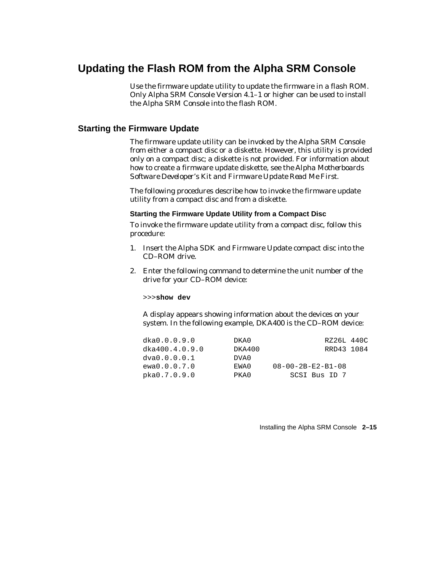## **Updating the Flash ROM from the Alpha SRM Console**

Use the firmware update utility to update the firmware in a flash ROM. Only Alpha SRM Console Version 4.1–1 or higher can be used to install the Alpha SRM Console into the flash ROM.

#### **Starting the Firmware Update**

The firmware update utility can be invoked by the Alpha SRM Console from either a compact disc or a diskette. However, this utility is provided only on a compact disc; a diskette is not provided. For information about how to create a firmware update diskette, see the *Alpha Motherboards Software Developer's Kit and Firmware Update Read Me First.*

The following procedures describe how to invoke the firmware update utility from a compact disc and from a diskette.

#### **Starting the Firmware Update Utility from a Compact Disc**

To invoke the firmware update utility from a compact disc, follow this procedure:

- 1. Insert the Alpha SDK and Firmware Update compact disc into the CD–ROM drive.
- 2. Enter the following command to determine the unit number of the drive for your CD–ROM device:

>>>**show dev**

A display appears showing information about the devices on your system. In the following example, DKA400 is the CD–ROM device:

| dka0.0.0.9.0   | DKA0   | RZ26L 440C                    |  |
|----------------|--------|-------------------------------|--|
| dka400.4.0.9.0 | DKA400 | RRD43 1084                    |  |
| dva0.0.0.0.1   | DVA0   |                               |  |
| ewa0.0.0.7.0   | EWA0   | $08 - 00 - 2B - E2 - B1 - 08$ |  |
| pka0.7.0.9.0   | PKA0   | SCSI Bus ID 7                 |  |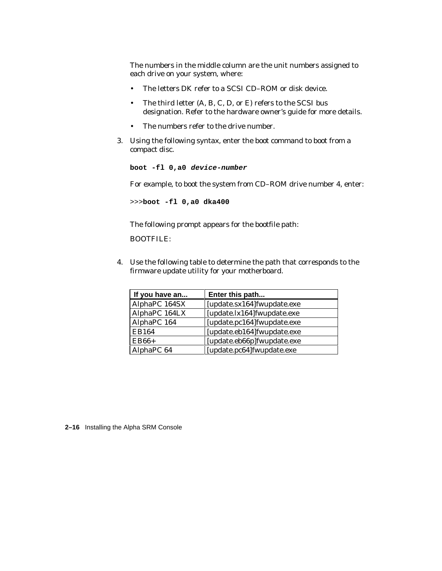The numbers in the middle column are the unit numbers assigned to each drive on your system, where:

- The letters DK refer to a SCSI CD–ROM or disk device.
- The third letter (A, B, C, D, or E) refers to the SCSI bus designation. Refer to the hardware owner's guide for more details.
- The numbers refer to the drive number.
- 3. Using the following syntax, enter the boot command to boot from a compact disc.

```
boot -fl 0,a0 device-number
```
For example, to boot the system from CD–ROM drive number 4, enter:

>>>**boot -fl 0,a0 dka400**

The following prompt appears for the bootfile path:

BOOTFILE:

4. Use the following table to determine the path that corresponds to the firmware update utility for your motherboard.

| If you have an | Enter this path             |  |
|----------------|-----------------------------|--|
| AlphaPC 164SX  | [update.sx164] fwupdate.exe |  |
| AlphaPC 164LX  | [update.lx164] fwupdate.exe |  |
| AlphaPC 164    | [update.pc164] fwupdate.exe |  |
| <b>EB164</b>   | [update.eb164] fwupdate.exe |  |
| $EB66+$        | [update.eb66p]fwupdate.exe  |  |
| AlphaPC 64     | [update.pc64]fwupdate.exe   |  |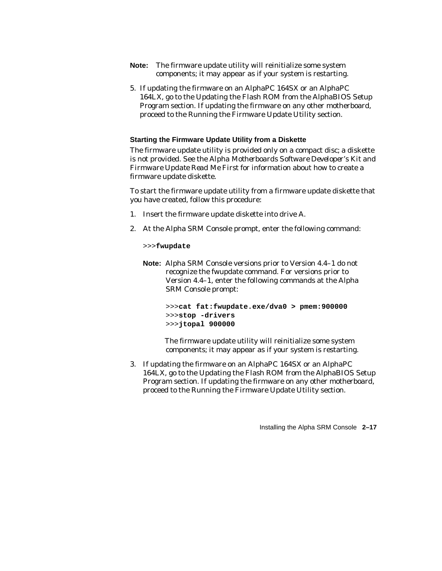- **Note:** The firmware update utility will reinitialize some system components; it may appear as if your system is restarting.
- 5. If updating the firmware on an AlphaPC 164SX or an AlphaPC 164LX, go to the Updating the Flash ROM from the AlphaBIOS Setup Program section. If updating the firmware on any other motherboard, proceed to the Running the Firmware Update Utility section.

#### **Starting the Firmware Update Utility from a Diskette**

The firmware update utility is provided only on a compact disc; a diskette is not provided. See the *Alpha Motherboards Software Developer's Kit and Firmware Update Read Me First* for information about how to create a firmware update diskette.

To start the firmware update utility from a firmware update diskette that you have created, follow this procedure:

- 1. Insert the firmware update diskette into drive A.
- 2. At the Alpha SRM Console prompt, enter the following command:

>>>**fwupdate**

**Note:** Alpha SRM Console versions prior to Version 4.4–1 do not recognize the fwupdate command. For versions prior to Version 4.4–1, enter the following commands at the Alpha SRM Console prompt:

```
>>>cat fat:fwupdate.exe/dva0 > pmem:900000
>>>stop -drivers
>>>jtopal 900000
```
 The firmware update utility will reinitialize some system components; it may appear as if your system is restarting.

3. If updating the firmware on an AlphaPC 164SX or an AlphaPC 164LX, go to the Updating the Flash ROM from the AlphaBIOS Setup Program section. If updating the firmware on any other motherboard, proceed to the Running the Firmware Update Utility section.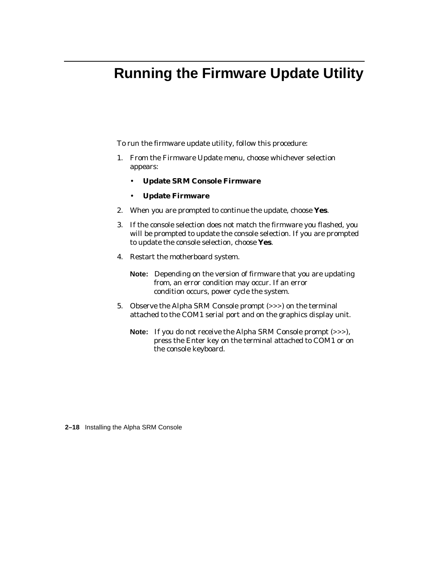# **Running the Firmware Update Utility**

To run the firmware update utility, follow this procedure:

- 1. From the Firmware Update menu, choose whichever selection appears:
	- **Update SRM Console Firmware**
	- **Update Firmware**
- 2. When you are prompted to continue the update, choose **Yes**.
- 3. If the console selection does not match the firmware you flashed, you will be prompted to update the console selection. If you are prompted to update the console selection, choose **Yes**.
- 4. Restart the motherboard system.
	- **Note:** Depending on the version of firmware that you are updating from, an error condition may occur. If an error condition occurs, power cycle the system.
- 5. Observe the Alpha SRM Console prompt (>>>) on the terminal attached to the COM1 serial port and on the graphics display unit.
	- **Note:** If you do not receive the Alpha SRM Console prompt (>>>), press the Enter key on the terminal attached to COM1 or on the console keyboard.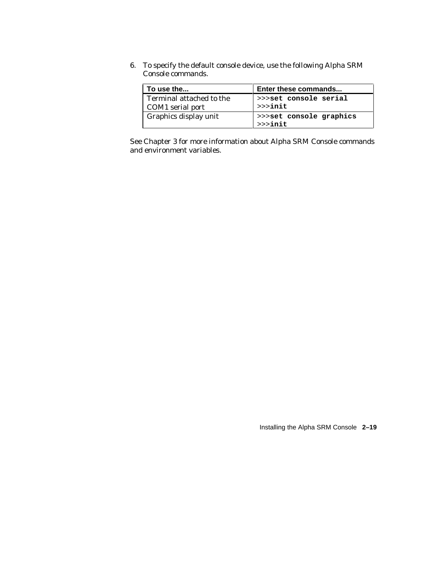6. To specify the default console device, use the following Alpha SRM Console commands.

| To use the                                   | Enter these commands                   |
|----------------------------------------------|----------------------------------------|
| Terminal attached to the<br>COM1 serial port | >>>set console serial<br>$>>$ init     |
| Graphics display unit                        | >>>set console graphics<br>$>>$ $init$ |

See Chapter 3 for more information about Alpha SRM Console commands and environment variables.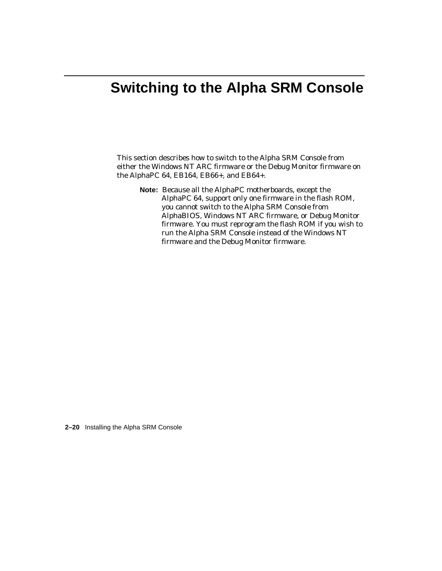# **Switching to the Alpha SRM Console**

This section describes how to switch to the Alpha SRM Console from either the Windows NT ARC firmware or the Debug Monitor firmware on the AlphaPC 64, EB164, EB66+, and EB64+.

**Note:** Because all the AlphaPC motherboards, except the AlphaPC 64, support only one firmware in the flash ROM, you cannot switch to the Alpha SRM Console from AlphaBIOS, Windows NT ARC firmware, or Debug Monitor firmware. You must reprogram the flash ROM if you wish to run the Alpha SRM Console instead of the Windows NT firmware and the Debug Monitor firmware.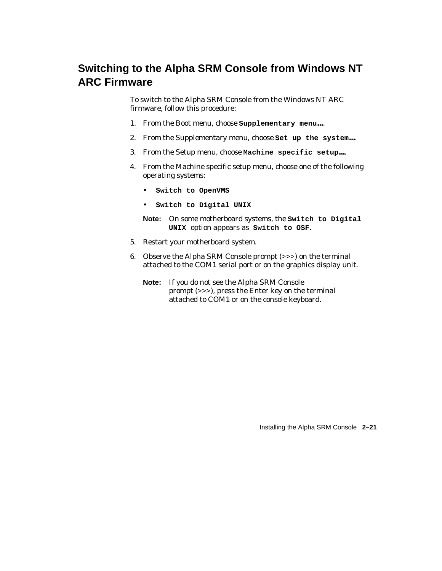## **Switching to the Alpha SRM Console from Windows NT ARC Firmware**

To switch to the Alpha SRM Console from the Windows NT ARC firmware, follow this procedure:

- 1. From the Boot menu, choose **Supplementary menu...**.
- 2. From the Supplementary menu, choose **Set up the system...**.
- 3. From the Setup menu, choose **Machine specific setup...**.
- 4. From the Machine specific setup menu, choose one of the following operating systems:
	- **Switch to OpenVMS**
	- **Switch to Digital UNIX**
	- **Note:** On some motherboard systems, the **Switch to Digital UNIX** option appears as **Switch to OSF**.
- 5. Restart your motherboard system.
- 6. Observe the Alpha SRM Console prompt (>>>) on the terminal attached to the COM1 serial port or on the graphics display unit.
	- **Note:** If you do not see the Alpha SRM Console prompt (>>>), press the Enter key on the terminal attached to COM1 or on the console keyboard.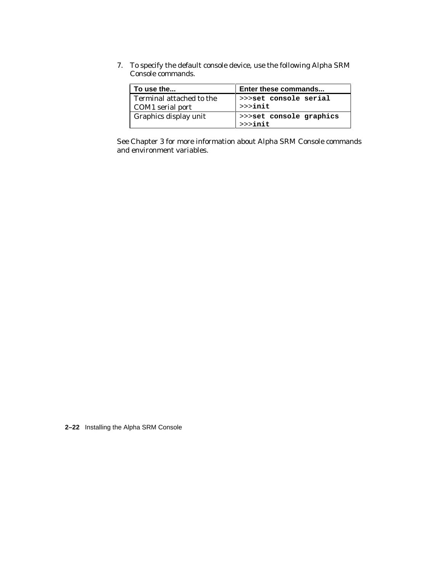7. To specify the default console device, use the following Alpha SRM Console commands.

| To use the                                   | Enter these commands                 |
|----------------------------------------------|--------------------------------------|
| Terminal attached to the<br>COM1 serial port | >>>set console serial<br>$>>$ init   |
| Graphics display unit                        | >>>set console graphics<br>$>>$ init |

See Chapter 3 for more information about Alpha SRM Console commands and environment variables.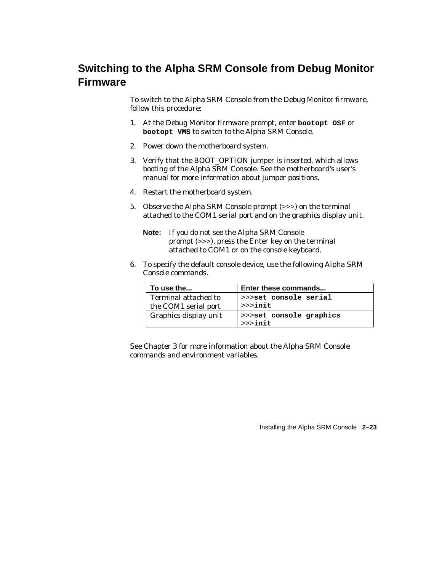# **Switching to the Alpha SRM Console from Debug Monitor Firmware**

To switch to the Alpha SRM Console from the Debug Monitor firmware, follow this procedure:

- 1. At the Debug Monitor firmware prompt, enter **bootopt OSF** or **bootopt VMS** to switch to the Alpha SRM Console.
- 2. Power down the motherboard system.
- 3. Verify that the BOOT\_OPTION jumper is inserted, which allows booting of the Alpha SRM Console. See the motherboard's user's manual for more information about jumper positions.
- 4. Restart the motherboard system.
- 5. Observe the Alpha SRM Console prompt (>>>) on the terminal attached to the COM1 serial port and on the graphics display unit.
	- **Note:** If you do not see the Alpha SRM Console prompt (>>>), press the Enter key on the terminal attached to COM1 or on the console keyboard.
- 6. To specify the default console device, use the following Alpha SRM Console commands.

| To use the                                          | Enter these commands                 |
|-----------------------------------------------------|--------------------------------------|
| <b>Terminal attached to</b><br>the COM1 serial port | >>>set console serial<br>$>>$ init   |
| <b>Graphics display unit</b>                        | >>>set console graphics<br>$>>$ init |

See Chapter 3 for more information about the Alpha SRM Console commands and environment variables.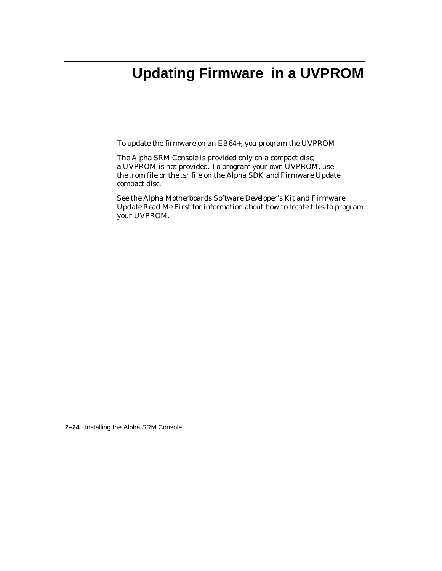# **Updating Firmware in a UVPROM**

To update the firmware on an EB64+, you program the UVPROM.

The Alpha SRM Console is provided only on a compact disc; a UVPROM is not provided. To program your own UVPROM, use the .rom file or the .sr file on the Alpha SDK and Firmware Update compact disc.

See the *Alpha Motherboards Software Developer's Kit and Firmware Update Read Me First* for information about how to locate files to program your UVPROM.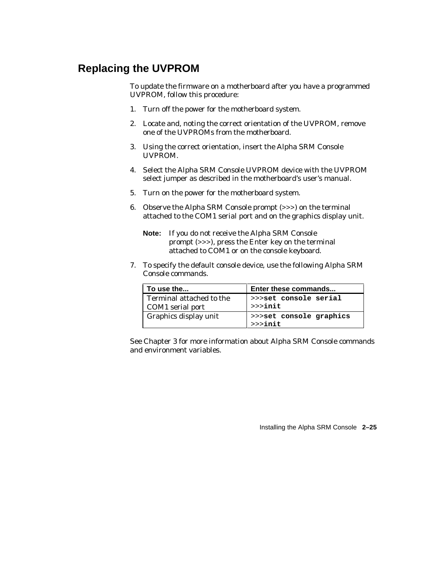# **Replacing the UVPROM**

To update the firmware on a motherboard after you have a programmed UVPROM, follow this procedure:

- 1. Turn off the power for the motherboard system.
- 2. Locate and, noting the correct orientation of the UVPROM, remove one of the UVPROMs from the motherboard.
- 3. Using the correct orientation, insert the Alpha SRM Console UVPROM.
- 4. Select the Alpha SRM Console UVPROM device with the UVPROM select jumper as described in the motherboard's user's manual.
- 5. Turn on the power for the motherboard system.
- 6. Observe the Alpha SRM Console prompt (>>>) on the terminal attached to the COM1 serial port and on the graphics display unit.
	- **Note:** If you do not receive the Alpha SRM Console prompt (>>>), press the Enter key on the terminal attached to COM1 or on the console keyboard.
- 7. To specify the default console device, use the following Alpha SRM Console commands.

| To use the                                   | Enter these commands                 |
|----------------------------------------------|--------------------------------------|
| Terminal attached to the<br>COM1 serial port | >>>set console serial<br>$>>$ init   |
| Graphics display unit                        | >>>set console graphics<br>$>>$ init |

See Chapter 3 for more information about Alpha SRM Console commands and environment variables.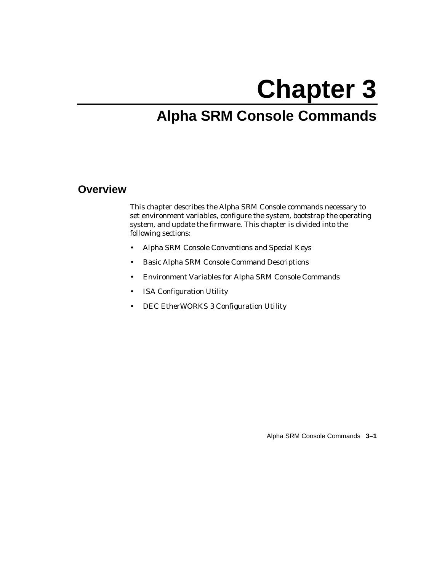# **Chapter 3**

# **Alpha SRM Console Commands**

# **Overview**

This chapter describes the Alpha SRM Console commands necessary to set environment variables, configure the system, bootstrap the operating system, and update the firmware. This chapter is divided into the following sections:

- Alpha SRM Console Conventions and Special Keys
- Basic Alpha SRM Console Command Descriptions
- Environment Variables for Alpha SRM Console Commands
- ISA Configuration Utility
- DEC EtherWORKS 3 Configuration Utility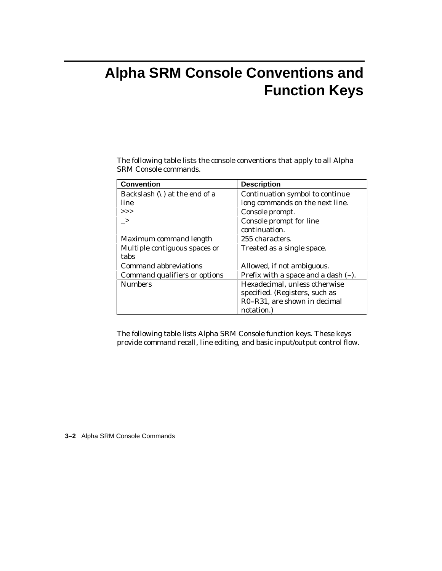# **Alpha SRM Console Conventions and Function Keys**

The following table lists the console conventions that apply to all Alpha SRM Console commands.

| <b>Convention</b>                       | <b>Description</b>                  |
|-----------------------------------------|-------------------------------------|
| Backslash $(\setminus)$ at the end of a | Continuation symbol to continue     |
| line                                    | long commands on the next line.     |
| >>                                      | Console prompt.                     |
| $\rightarrow$                           | Console prompt for line             |
|                                         | continuation.                       |
| Maximum command length                  | 255 characters.                     |
| Multiple contiguous spaces or           | Treated as a single space.          |
| tabs                                    |                                     |
| <b>Command abbreviations</b>            | Allowed, if not ambiguous.          |
| Command qualifiers or options           | Prefix with a space and a dash (-). |
| <b>Numbers</b>                          | Hexadecimal, unless otherwise       |
|                                         | specified. (Registers, such as      |
|                                         | R0-R31, are shown in decimal        |
|                                         | notation.)                          |

The following table lists Alpha SRM Console function keys. These keys provide command recall, line editing, and basic input/output control flow.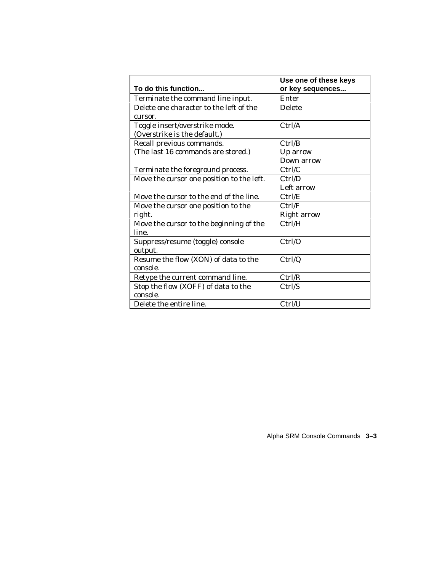|                                           | Use one of these keys |
|-------------------------------------------|-----------------------|
| To do this function                       | or key sequences      |
| Terminate the command line input.         | Enter                 |
| Delete one character to the left of the   | <b>Delete</b>         |
| cursor.                                   |                       |
| Toggle insert/overstrike mode.            | Ctrl/A                |
| (Overstrike is the default.)              |                       |
| Recall previous commands.                 | Ctrl/B                |
| (The last 16 commands are stored.)        | Up arrow              |
|                                           | Down arrow            |
| Terminate the foreground process.         | Ctrl/C                |
| Move the cursor one position to the left. | Ctrl/D                |
|                                           | Left arrow            |
| Move the cursor to the end of the line.   | Ctrl/E                |
| Move the cursor one position to the       | Ctrl/F                |
| right.                                    | <b>Right arrow</b>    |
| Move the cursor to the beginning of the   | Ctrl/H                |
| line.                                     |                       |
| Suppress/resume (toggle) console          | Ctrl/O                |
| output.                                   |                       |
| Resume the flow (XON) of data to the      | Ctrl/Q                |
| console.                                  |                       |
| Retype the current command line.          | Ctrl/R                |
| Stop the flow (XOFF) of data to the       | Ctrl/S                |
| console.                                  |                       |
| Delete the entire line.                   | Ctrl/U                |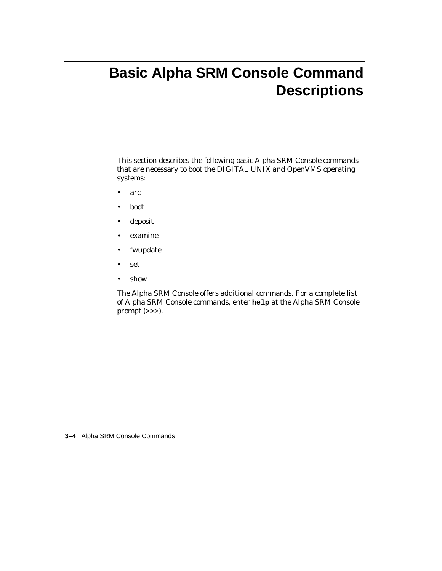# **Basic Alpha SRM Console Command Descriptions**

This section describes the following basic Alpha SRM Console commands that are necessary to boot the DIGITAL UNIX and OpenVMS operating systems:

- arc
- boot
- deposit
- examine
- fwupdate
- set
- show

The Alpha SRM Console offers additional commands. For a complete list of Alpha SRM Console commands, enter **help** at the Alpha SRM Console prompt (>>>).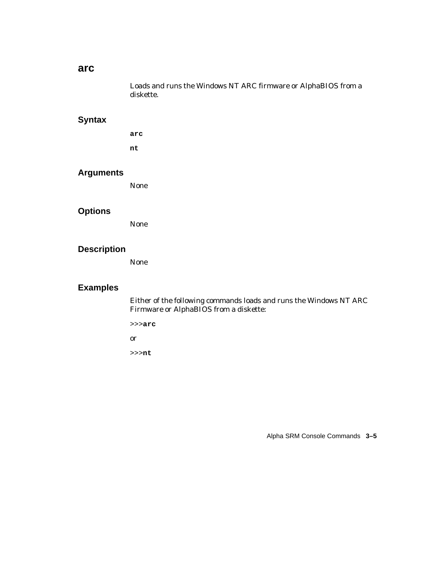#### **arc**

Loads and runs the Windows NT ARC firmware or AlphaBIOS from a diskette.

### **Syntax**

**arc nt**

#### **Arguments**

None

#### **Options**

None

#### **Description**

None

#### **Examples**

Either of the following commands loads and runs the Windows NT ARC Firmware or AlphaBIOS from a diskette:

>>>**arc**

or

>>>**nt**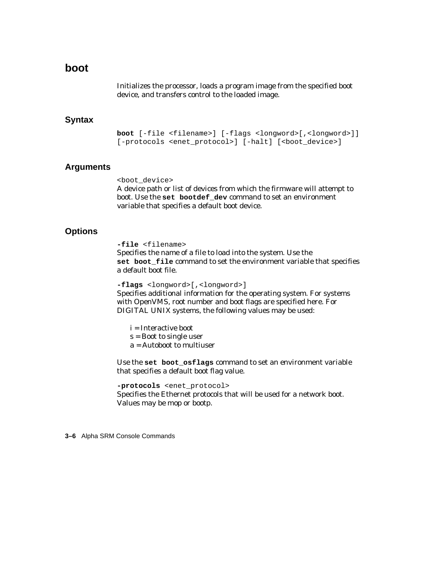### **boot**

Initializes the processor, loads a program image from the specified boot device, and transfers control to the loaded image.

#### **Syntax**

**boot** [-file <filename>] [-flags <longword>[,<longword>]] [-protocols <enet\_protocol>] [-halt] [<br/>boot\_device>]

#### **Arguments**

<boot\_device>

A device path or list of devices from which the firmware will attempt to boot. Use the **set bootdef\_dev** command to set an environment variable that specifies a default boot device.

#### **Options**

**-file** <filename> Specifies the name of a file to load into the system. Use the **set boot\_file** command to set the environment variable that specifies a default boot file.

**-flags** <longword>[,<longword>]

Specifies additional information for the operating system. For systems with OpenVMS, root number and boot flags are specified here. For DIGITAL UNIX systems, the following values may be used:

i = Interactive boot

s = Boot to single user

a = Autoboot to multiuser

Use the **set boot\_osflags** command to set an environment variable that specifies a default boot flag value.

**-protocols** <enet\_protocol> Specifies the Ethernet protocols that will be used for a network boot. Values may be mop or bootp.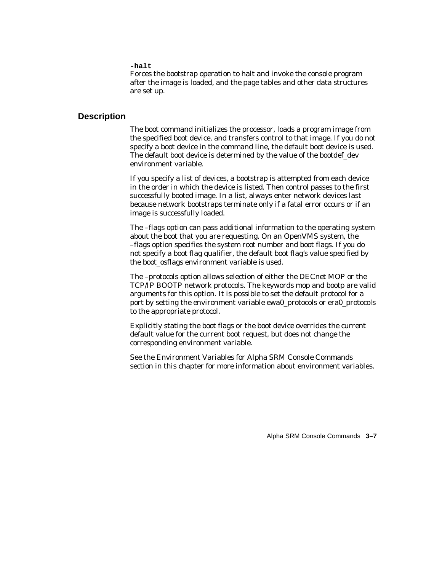**-halt**

Forces the bootstrap operation to halt and invoke the console program after the image is loaded, and the page tables and other data structures are set up.

#### **Description**

The boot command initializes the processor, loads a program image from the specified boot device, and transfers control to that image. If you do not specify a boot device in the command line, the default boot device is used. The default boot device is determined by the value of the bootdef\_dev environment variable.

If you specify a list of devices, a bootstrap is attempted from each device in the order in which the device is listed. Then control passes to the first successfully booted image. In a list, always enter network devices last because network bootstraps terminate only if a fatal error occurs or if an image is successfully loaded.

The –flags option can pass additional information to the operating system about the boot that you are requesting. On an OpenVMS system, the –flags option specifies the system root number and boot flags. If you do not specify a boot flag qualifier, the default boot flag's value specified by the boot\_osflags environment variable is used.

The –protocols option allows selection of either the DECnet MOP or the TCP/IP BOOTP network protocols. The keywords mop and bootp are valid arguments for this option. It is possible to set the default protocol for a port by setting the environment variable ewa0\_protocols or era0\_protocols to the appropriate protocol.

Explicitly stating the boot flags or the boot device overrides the current default value for the current boot request, but does not change the corresponding environment variable.

See the Environment Variables for Alpha SRM Console Commands section in this chapter for more information about environment variables.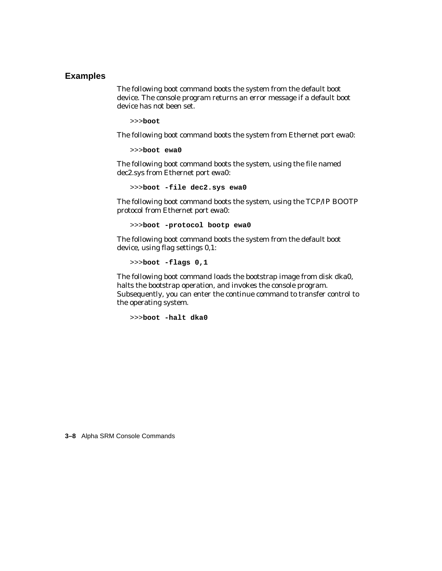#### **Examples**

The following boot command boots the system from the default boot device. The console program returns an error message if a default boot device has not been set.

```
>>>boot
```
The following boot command boots the system from Ethernet port ewa0:

```
>>>boot ewa0
```
The following boot command boots the system, using the file named dec2.sys from Ethernet port ewa0:

>>>**boot -file dec2.sys ewa0**

The following boot command boots the system, using the TCP/IP BOOTP protocol from Ethernet port ewa0:

```
>>>boot -protocol bootp ewa0
```
The following boot command boots the system from the default boot device, using flag settings 0,1:

```
>>>boot -flags 0,1
```
The following boot command loads the bootstrap image from disk dka0, halts the bootstrap operation, and invokes the console program. Subsequently, you can enter the continue command to transfer control to the operating system.

```
>>>boot -halt dka0
```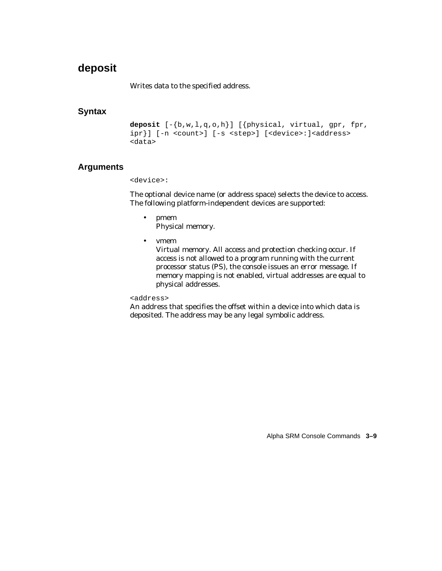# **deposit**

Writes data to the specified address.

#### **Syntax**

```
deposit [-{b,w,l,q,o,h}] [{physical, virtual, gpr, fpr,
ipr}] [-n <count>] [-s <step>] [<device>:]<address>
<data>
```
### **Arguments**

<device>:

The optional device name (or address space) selects the device to access. The following platform-independent devices are supported:

- pmem Physical memory.
- vmem

Virtual memory. All access and protection checking occur. If access is not allowed to a program running with the current processor status (PS), the console issues an error message. If memory mapping is not enabled, virtual addresses are equal to physical addresses.

<address>

An address that specifies the offset within a device into which data is deposited. The address may be any legal symbolic address.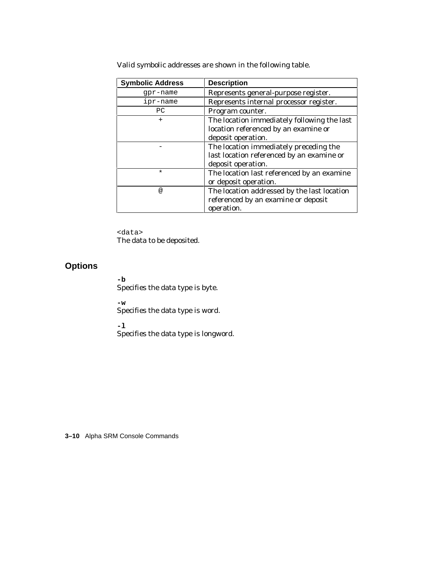| <b>Symbolic Address</b> | <b>Description</b>                          |
|-------------------------|---------------------------------------------|
| qpr-name                | Represents general-purpose register.        |
| ipr-name                | Represents internal processor register.     |
| PC                      | Program counter.                            |
| $\ddot{}$               | The location immediately following the last |
|                         | location referenced by an examine or        |
|                         | deposit operation.                          |
|                         | The location immediately preceding the      |
|                         | last location referenced by an examine or   |
|                         | deposit operation.                          |
| $\star$                 | The location last referenced by an examine  |
|                         | or deposit operation.                       |
| @                       | The location addressed by the last location |
|                         | referenced by an examine or deposit         |
|                         | operation.                                  |

Valid symbolic addresses are shown in the following table.

<data> The data to be deposited.

#### **Options**

**-b**

Specifies the data type is byte.

**-w**

Specifies the data type is word.

**-l**

Specifies the data type is longword.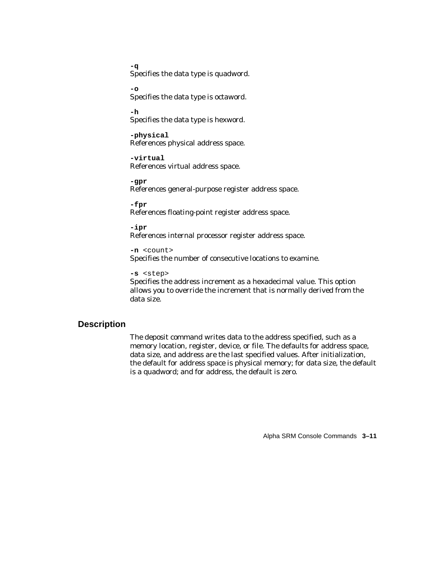**-q** Specifies the data type is quadword.

**-o** Specifies the data type is octaword.

**-h** Specifies the data type is hexword.

**-physical** References physical address space.

**-virtual** References virtual address space.

**-gpr** References general-purpose register address space.

**-fpr** References floating-point register address space.

**-ipr** References internal processor register address space.

**-n** <count> Specifies the number of consecutive locations to examine.

#### **-s** <step>

Specifies the address increment as a hexadecimal value. This option allows you to override the increment that is normally derived from the data size.

#### **Description**

The deposit command writes data to the address specified, such as a memory location, register, device, or file. The defaults for address space, data size, and address are the last specified values. After initialization, the default for address space is physical memory; for data size, the default is a quadword; and for address, the default is zero.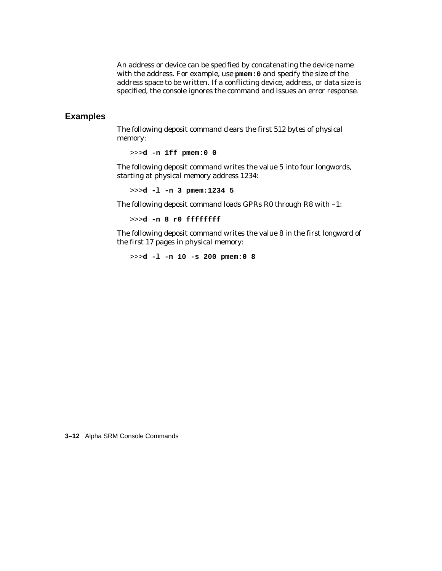An address or device can be specified by concatenating the device name with the address. For example, use **pmem:0** and specify the size of the address space to be written. If a conflicting device, address, or data size is specified, the console ignores the command and issues an error response.

#### **Examples**

The following deposit command clears the first 512 bytes of physical memory:

```
>>>d -n 1ff pmem:0 0
```
The following deposit command writes the value 5 into four longwords, starting at physical memory address 1234:

>>>**d -l -n 3 pmem:1234 5**

The following deposit command loads GPRs R0 through R8 with –1:

>>>**d -n 8 r0 ffffffff**

The following deposit command writes the value 8 in the first longword of the first 17 pages in physical memory:

>>>**d -l -n 10 -s 200 pmem:0 8**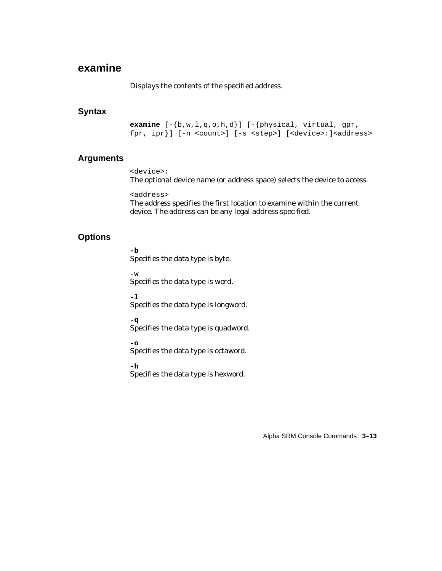# **examine**

Displays the contents of the specified address.

#### **Syntax**

**examine** [-{b,w,l,q,o,h,d}] [-{physical, virtual, gpr, fpr, ipr}] [-n <count>] [-s <step>] [<device>:]<address>

#### **Arguments**

<device>: The optional device name (or address space) selects the device to access.

<address> The address specifies the first location to examine within the current device. The address can be any legal address specified.

#### **Options**

**-b** Specifies the data type is byte.

**-w**

Specifies the data type is word.

**-l**

Specifies the data type is longword.

**-q**

Specifies the data type is quadword.

**-o**

Specifies the data type is octaword.

**-h** Specifies the data type is hexword.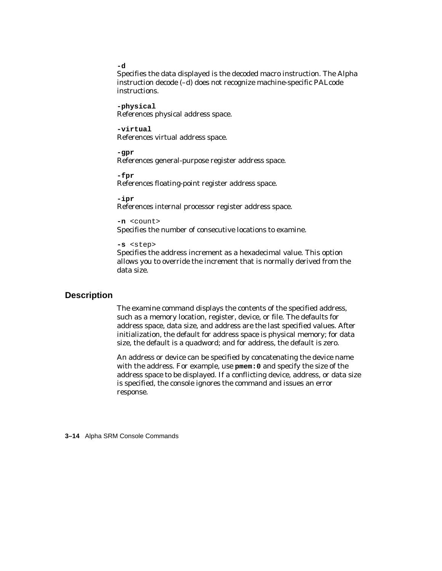```
-d
```
Specifies the data displayed is the decoded macro instruction. The Alpha instruction decode (–d) does not recognize machine-specific PALcode instructions.

**-physical** References physical address space.

**-virtual** References virtual address space.

**-gpr** References general-purpose register address space.

**-fpr** References floating-point register address space.

**-ipr** References internal processor register address space.

```
-n <count>
```
Specifies the number of consecutive locations to examine.

```
-s <step>
```
Specifies the address increment as a hexadecimal value. This option allows you to override the increment that is normally derived from the data size.

#### **Description**

The examine command displays the contents of the specified address, such as a memory location, register, device, or file. The defaults for address space, data size, and address are the last specified values. After initialization, the default for address space is physical memory; for data size, the default is a quadword; and for address, the default is zero.

An address or device can be specified by concatenating the device name with the address. For example, use **pmem:0** and specify the size of the address space to be displayed. If a conflicting device, address, or data size is specified, the console ignores the command and issues an error response.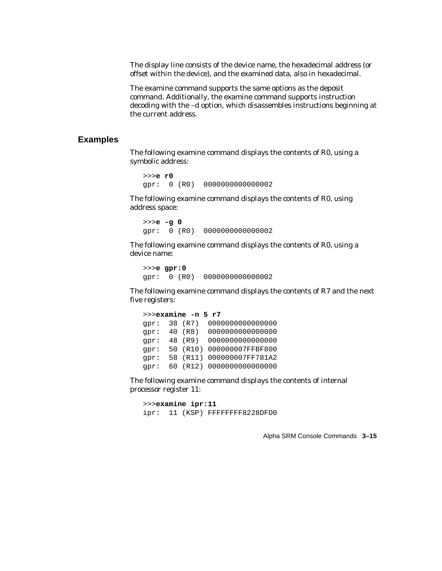The display line consists of the device name, the hexadecimal address (or offset within the device), and the examined data, also in hexadecimal.

The examine command supports the same options as the deposit command. Additionally, the examine command supports instruction decoding with the –d option, which disassembles instructions beginning at the current address.

#### **Examples**

The following examine command displays the contents of R0, using a symbolic address:

>>>**e r0** gpr: 0 (R0) 0000000000000002

The following examine command displays the contents of R0, using address space:

```
>>>e -g 0
gpr: 0 (R0) 0000000000000002
```
The following examine command displays the contents of R0, using a device name:

>>>**e gpr:0** gpr: 0 (R0) 0000000000000002

The following examine command displays the contents of R7 and the next five registers:

```
 >>>examine -n 5 r7
gpr: 38 (R7) 0000000000000000
gpr: 40 (R8) 0000000000000000
gpr: 48 (R9) 0000000000000000
gpr: 50 (R10) 000000007FFBF800
gpr: 58 (R11) 000000007FF781A2
gpr: 60 (R12) 0000000000000000
```
The following examine command displays the contents of internal processor register 11:

```
>>>examine ipr:11
ipr: 11 (KSP) FFFFFFFF8228DFD0
```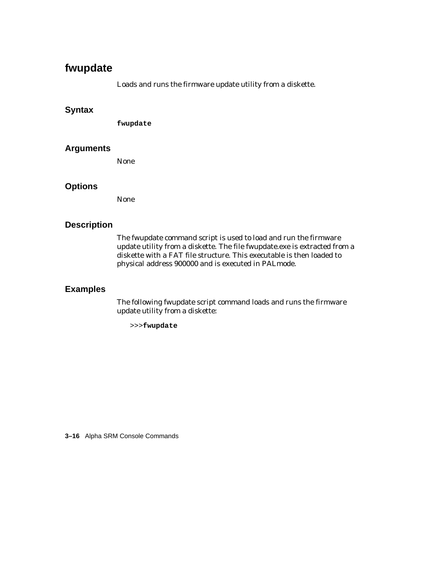# **fwupdate**

Loads and runs the firmware update utility from a diskette.

#### **Syntax**

**fwupdate**

#### **Arguments**

None

#### **Options**

None

#### **Description**

The fwupdate command script is used to load and run the firmware update utility from a diskette. The file fwupdate.exe is extracted from a diskette with a FAT file structure. This executable is then loaded to physical address 900000 and is executed in PALmode.

#### **Examples**

The following fwupdate script command loads and runs the firmware update utility from a diskette:

>>>**fwupdate**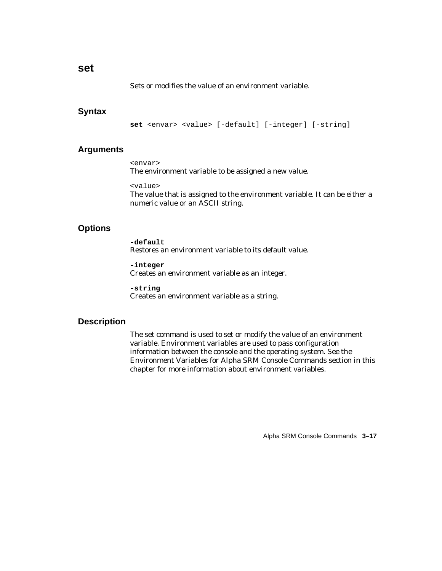#### **set**

Sets or modifies the value of an environment variable.

#### **Syntax**

**set** <envar> <value> [-default] [-integer] [-string]

#### **Arguments**

<envar> The environment variable to be assigned a new value.

#### <value>

The value that is assigned to the environment variable. It can be either a numeric value or an ASCII string.

#### **Options**

**-default** Restores an environment variable to its default value.

**-integer** Creates an environment variable as an integer.

**-string** Creates an environment variable as a string.

#### **Description**

The set command is used to set or modify the value of an environment variable. Environment variables are used to pass configuration information between the console and the operating system. See the Environment Variables for Alpha SRM Console Commands section in this chapter for more information about environment variables.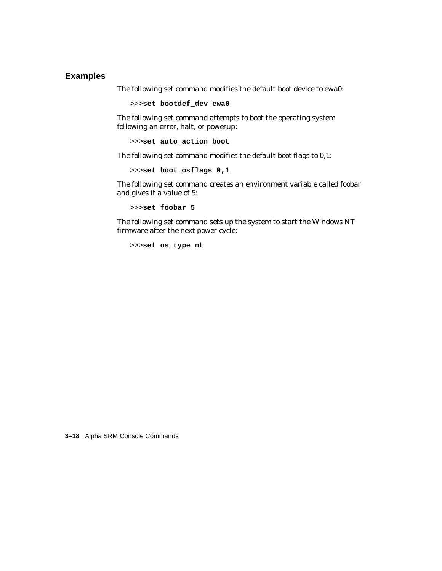#### **Examples**

The following set command modifies the default boot device to ewa0:

>>>**set bootdef\_dev ewa0**

The following set command attempts to boot the operating system following an error, halt, or powerup:

>>>**set auto\_action boot**

The following set command modifies the default boot flags to 0,1:

>>>**set boot\_osflags 0,1**

The following set command creates an environment variable called foobar and gives it a value of 5:

>>>**set foobar 5**

The following set command sets up the system to start the Windows NT firmware after the next power cycle:

>>>**set os\_type nt**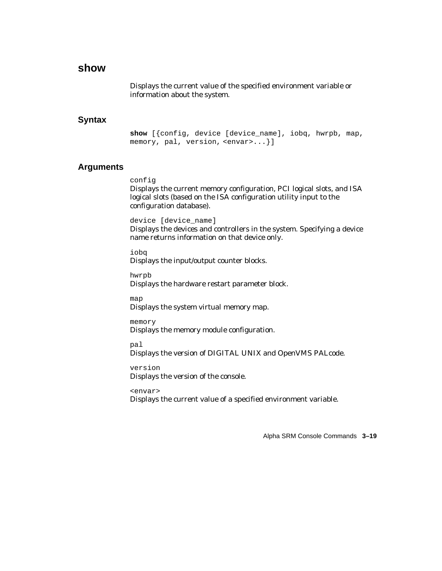# **show**

Displays the current value of the specified environment variable or information about the system.

#### **Syntax**

**show** [{config, device [device\_name], iobq, hwrpb, map, memory, pal, version, <envar>...}]

#### **Arguments**

#### config

Displays the current memory configuration, PCI logical slots, and ISA logical slots (based on the ISA configuration utility input to the configuration database).

device [device\_name]

Displays the devices and controllers in the system. Specifying a device name returns information on that device only.

iobq Displays the input/output counter blocks.

hwrpb Displays the hardware restart parameter block.

map

Displays the system virtual memory map.

memory Displays the memory module configuration.

pal Displays the version of DIGITAL UNIX and OpenVMS PALcode.

version Displays the version of the console.

<envar> Displays the current value of a specified environment variable.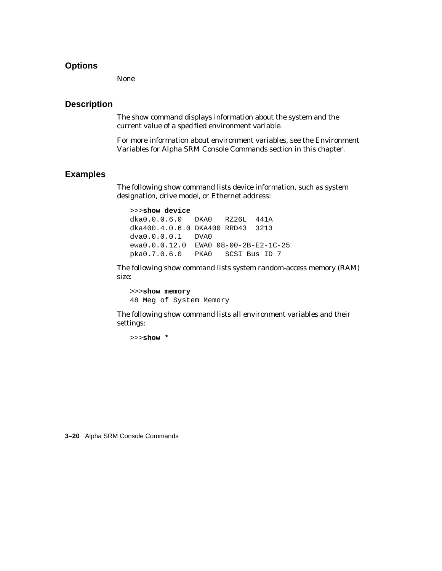#### **Options**

None

#### **Description**

The show command displays information about the system and the current value of a specified environment variable.

For more information about environment variables, see the Environment Variables for Alpha SRM Console Commands section in this chapter.

#### **Examples**

The following show command lists device information, such as system designation, drive model, or Ethernet address:

>>>**show device** dka0.0.0.6.0 DKA0 RZ26L 441A dka400.4.0.6.0 DKA400 RRD43 3213 dva0.0.0.0.1 DVA0 ewa0.0.0.12.0 EWA0 08-00-2B-E2-1C-25 pka0.7.0.6.0 PKA0 SCSI Bus ID 7

The following show command lists system random-access memory (RAM) size:

>>>**show memory** 48 Meg of System Memory

The following show command lists all environment variables and their settings:

>>>**show \***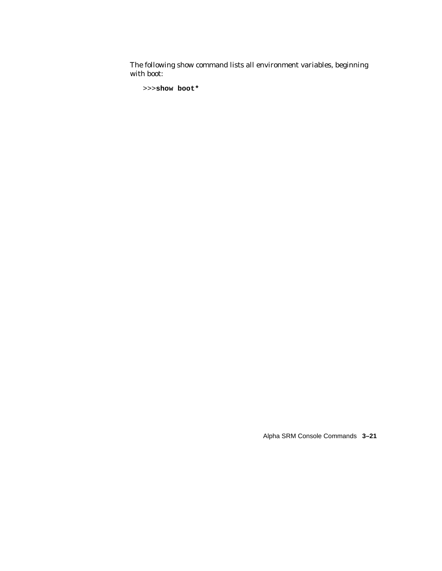The following show command lists all environment variables, beginning with boot:

```
>>>show boot*
```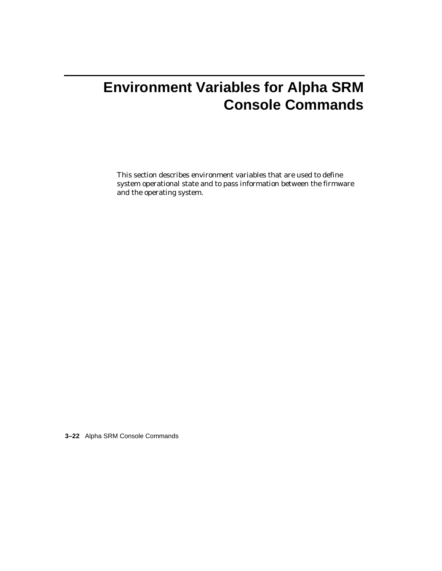# **Environment Variables for Alpha SRM Console Commands**

This section describes environment variables that are used to define system operational state and to pass information between the firmware and the operating system.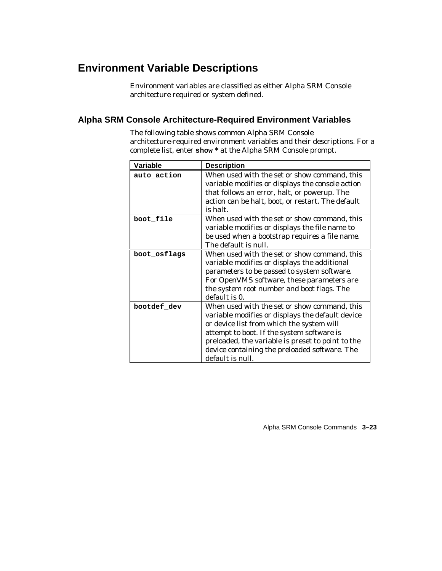# **Environment Variable Descriptions**

Environment variables are classified as either Alpha SRM Console architecture required or system defined.

#### **Alpha SRM Console Architecture-Required Environment Variables**

The following table shows common Alpha SRM Console architecture-required environment variables and their descriptions. For a complete list, enter **show \*** at the Alpha SRM Console prompt.

| Variable     | <b>Description</b>                                                                                                                                                                                                                                                                                                    |
|--------------|-----------------------------------------------------------------------------------------------------------------------------------------------------------------------------------------------------------------------------------------------------------------------------------------------------------------------|
| auto_action  | When used with the set or show command, this<br>variable modifies or displays the console action<br>that follows an error, halt, or powerup. The<br>action can be halt, boot, or restart. The default<br>is halt.                                                                                                     |
| boot file    | When used with the set or show command, this<br>variable modifies or displays the file name to<br>be used when a bootstrap requires a file name.<br>The default is null.                                                                                                                                              |
| boot osflags | When used with the set or show command, this<br>variable modifies or displays the additional<br>parameters to be passed to system software.<br>For OpenVMS software, these parameters are<br>the system root number and boot flags. The<br>default is 0.                                                              |
| bootdef dev  | When used with the set or show command, this<br>variable modifies or displays the default device<br>or device list from which the system will<br>attempt to boot. If the system software is<br>preloaded, the variable is preset to point to the<br>device containing the preloaded software. The<br>default is null. |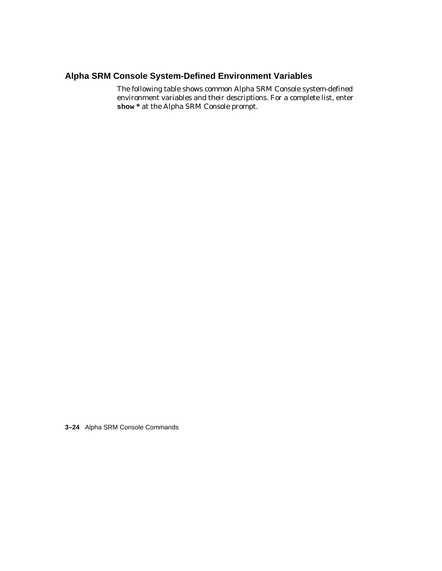### **Alpha SRM Console System-Defined Environment Variables**

The following table shows common Alpha SRM Console system-defined environment variables and their descriptions. For a complete list, enter **show \*** at the Alpha SRM Console prompt.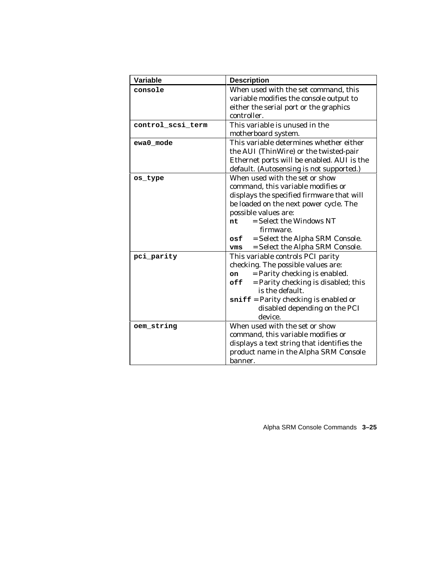| Variable          | <b>Description</b>                         |  |
|-------------------|--------------------------------------------|--|
| console           | When used with the set command, this       |  |
|                   | variable modifies the console output to    |  |
|                   | either the serial port or the graphics     |  |
|                   | controller.                                |  |
| control_scsi_term | This variable is unused in the             |  |
|                   | motherboard system.                        |  |
| ewa0 mode         | This variable determines whether either    |  |
|                   | the AUI (ThinWire) or the twisted-pair     |  |
|                   | Ethernet ports will be enabled. AUI is the |  |
|                   | default. (Autosensing is not supported.)   |  |
| os type           | When used with the set or show             |  |
|                   | command, this variable modifies or         |  |
|                   | displays the specified firmware that will  |  |
|                   | be loaded on the next power cycle. The     |  |
|                   | possible values are:                       |  |
|                   | $=$ Select the Windows NT<br>nt            |  |
|                   | firmware.                                  |  |
|                   | = Select the Alpha SRM Console.<br>osf     |  |
|                   | = Select the Alpha SRM Console.<br>vms     |  |
| pci_parity        | This variable controls PCI parity          |  |
|                   | checking. The possible values are:         |  |
|                   | = Parity checking is enabled.<br>on        |  |
|                   | = Parity checking is disabled; this<br>off |  |
|                   | is the default.                            |  |
|                   | $sniff$ = Parity checking is enabled or    |  |
|                   | disabled depending on the PCI              |  |
|                   | device.                                    |  |
| oem_string        | When used with the set or show             |  |
|                   | command, this variable modifies or         |  |
|                   | displays a text string that identifies the |  |
|                   | product name in the Alpha SRM Console      |  |
|                   | banner.                                    |  |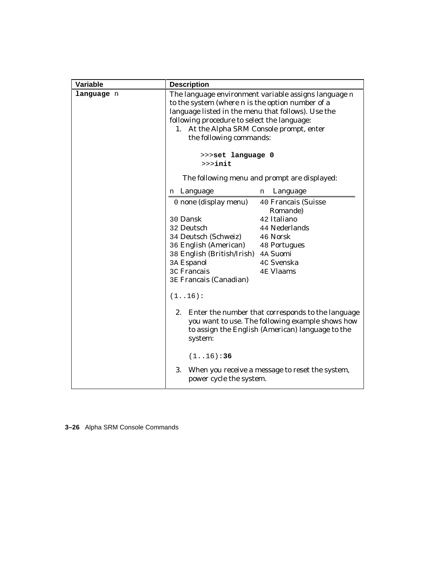| Variable   | <b>Description</b>                                                                                                                                                                                                                                                                                                                                                           |                                                                                                                                                           |
|------------|------------------------------------------------------------------------------------------------------------------------------------------------------------------------------------------------------------------------------------------------------------------------------------------------------------------------------------------------------------------------------|-----------------------------------------------------------------------------------------------------------------------------------------------------------|
| language n | The language environment variable assigns language n<br>to the system (where $n$ is the option number of a<br>language listed in the menu that follows). Use the<br>following procedure to select the language:<br>At the Alpha SRM Console prompt, enter<br>1.<br>the following commands:<br>>>>set language 0<br>$>>$ init<br>The following menu and prompt are displayed: |                                                                                                                                                           |
|            |                                                                                                                                                                                                                                                                                                                                                                              |                                                                                                                                                           |
|            |                                                                                                                                                                                                                                                                                                                                                                              |                                                                                                                                                           |
|            | n Language                                                                                                                                                                                                                                                                                                                                                                   | Language<br>n                                                                                                                                             |
|            | 0 none (display menu)                                                                                                                                                                                                                                                                                                                                                        | 40 Francais (Suisse<br>Romande)                                                                                                                           |
|            | 30 Dansk                                                                                                                                                                                                                                                                                                                                                                     | 42 Italiano                                                                                                                                               |
|            | 32 Deutsch                                                                                                                                                                                                                                                                                                                                                                   | 44 Nederlands                                                                                                                                             |
|            | 34 Deutsch (Schweiz)                                                                                                                                                                                                                                                                                                                                                         | 46 Norsk                                                                                                                                                  |
|            | 36 English (American)                                                                                                                                                                                                                                                                                                                                                        | <b>48 Portugues</b>                                                                                                                                       |
|            | 38 English (British/Irish) 4A Suomi                                                                                                                                                                                                                                                                                                                                          |                                                                                                                                                           |
|            | 3A Espanol                                                                                                                                                                                                                                                                                                                                                                   | 4C Svenska                                                                                                                                                |
|            | 3C Francais<br><b>3E Francais (Canadian)</b>                                                                                                                                                                                                                                                                                                                                 | <b>4E Vlaams</b>                                                                                                                                          |
|            | (1.16):                                                                                                                                                                                                                                                                                                                                                                      |                                                                                                                                                           |
|            | 2.<br>system:                                                                                                                                                                                                                                                                                                                                                                | Enter the number that corresponds to the language<br>you want to use. The following example shows how<br>to assign the English (American) language to the |
|            | (116):36                                                                                                                                                                                                                                                                                                                                                                     |                                                                                                                                                           |
|            | 3.<br>power cycle the system.                                                                                                                                                                                                                                                                                                                                                | When you receive a message to reset the system,                                                                                                           |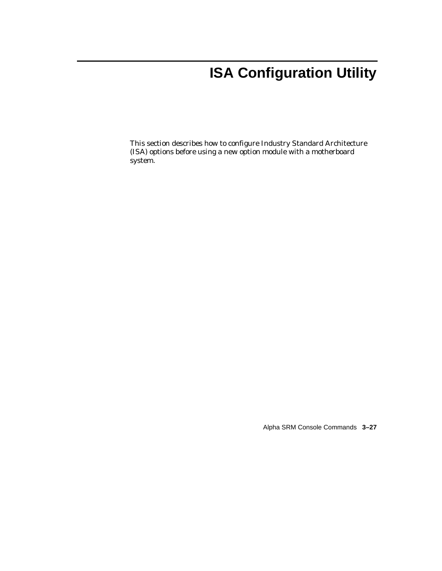# **ISA Configuration Utility**

This section describes how to configure Industry Standard Architecture (ISA) options before using a new option module with a motherboard system.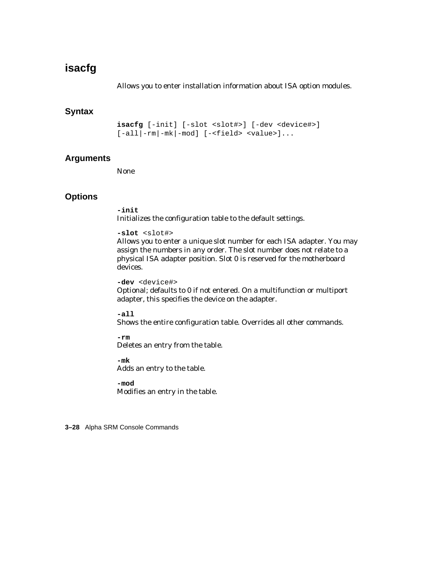# **isacfg**

Allows you to enter installation information about ISA option modules.

### **Syntax**

**isacfg** [-init] [-slot <slot#>] [-dev <device#>] [-all|-rm|-mk|-mod] [-<field> <value>]...

### **Arguments**

None

# **Options**

**-init** Initializes the configuration table to the default settings.

```
-slot <slot#>
```
Allows you to enter a unique slot number for each ISA adapter. You may assign the numbers in any order. The slot number does not relate to a physical ISA adapter position. Slot 0 is reserved for the motherboard devices.

**-dev** <device#> Optional; defaults to 0 if not entered. On a multifunction or multiport adapter, this specifies the device on the adapter.

**-all** Shows the entire configuration table. Overrides all other commands.

**-rm** Deletes an entry from the table.

**-mk** Adds an entry to the table.

**-mod** Modifies an entry in the table.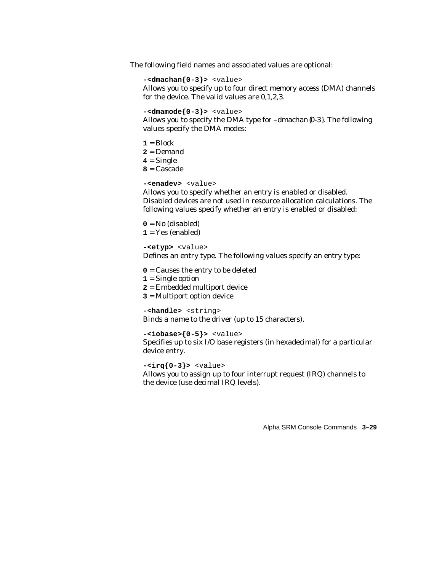The following field names and associated values are optional:

```
-<dmachan{0-3}> <value>
```
Allows you to specify up to four direct memory access (DMA) channels for the device. The valid values are 0,1,2,3.

```
-<dmamode{0-3}> <value>
```
Allows you to specify the DMA type for –dmachan{0-3}. The following values specify the DMA modes:

 $1 = \text{Block}$ **2** = Demand **4** = Single **8** = Cascade

```
-<enadev> <value>
```
Allows you to specify whether an entry is enabled or disabled. Disabled devices are not used in resource allocation calculations. The following values specify whether an entry is enabled or disabled:

 $0 = No$  (disabled)  $1 = Yes$  (enabled)

**-<etyp>** <value>

Defines an entry type. The following values specify an entry type:

**0** = Causes the entry to be deleted

- **1** = Single option
- **2** = Embedded multiport device
- **3** = Multiport option device

**-<handle>** <string>

Binds a name to the driver (up to 15 characters).

```
-<iobase>{0-5}> <value>
```
Specifies up to six I/O base registers (in hexadecimal) for a particular device entry.

**-<irq{0-3}>** <value>

Allows you to assign up to four interrupt request (IRQ) channels to the device (use decimal IRQ levels).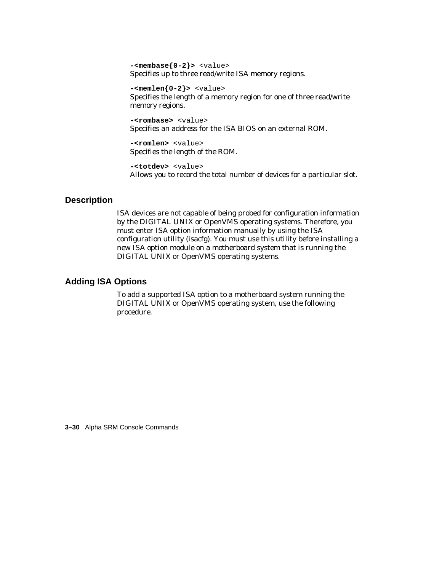```
-<membase{0-2}> <value>
Specifies up to three read/write ISA memory regions.
```

```
-<memlen{0-2}> <value>
Specifies the length of a memory region for one of three read/write
memory regions.
```
**-<rombase>** <value> Specifies an address for the ISA BIOS on an external ROM.

**-<romlen>** <value> Specifies the length of the ROM.

**-<totdev>** <value> Allows you to record the total number of devices for a particular slot.

# **Description**

ISA devices are not capable of being probed for configuration information by the DIGITAL UNIX or OpenVMS operating systems. Therefore, you must enter ISA option information manually by using the ISA configuration utility (isacfg). You must use this utility before installing a new ISA option module on a motherboard system that is running the DIGITAL UNIX or OpenVMS operating systems.

### **Adding ISA Options**

To add a supported ISA option to a motherboard system running the DIGITAL UNIX or OpenVMS operating system, use the following procedure.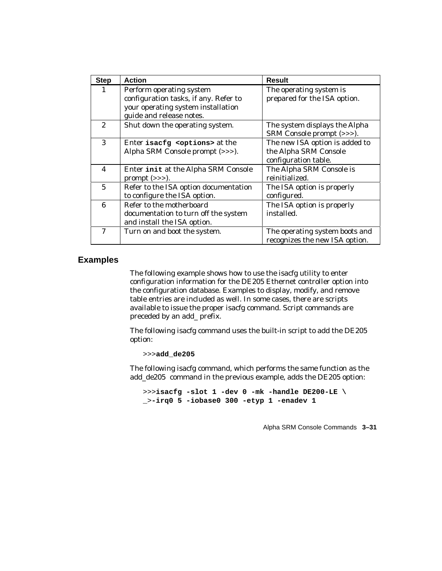| <b>Step</b>             | <b>Action</b>                                                                                                                       | <b>Result</b>                                                                   |
|-------------------------|-------------------------------------------------------------------------------------------------------------------------------------|---------------------------------------------------------------------------------|
| 1                       | Perform operating system<br>configuration tasks, if any. Refer to<br>your operating system installation<br>guide and release notes. | The operating system is<br>prepared for the ISA option.                         |
| $\mathbf{2}$            | Shut down the operating system.                                                                                                     | The system displays the Alpha<br>SRM Console prompt (>>>).                      |
| 3                       | Enter isacfg <options> at the<br/>Alpha SRM Console prompt (&gt;&gt;&gt;).</options>                                                | The new ISA option is added to<br>the Alpha SRM Console<br>configuration table. |
| $\overline{\mathbf{4}}$ | Enter init at the Alpha SRM Console<br>prompt $(\gg)$ .                                                                             | The Alpha SRM Console is<br>reinitialized.                                      |
| $\overline{5}$          | Refer to the ISA option documentation<br>to configure the ISA option.                                                               | The ISA option is properly<br>configured.                                       |
| 6                       | Refer to the motherboard<br>documentation to turn off the system<br>and install the ISA option.                                     | The ISA option is properly<br>installed.                                        |
| 7                       | Turn on and boot the system.                                                                                                        | The operating system boots and<br>recognizes the new ISA option.                |

#### **Examples**

The following example shows how to use the isacfg utility to enter configuration information for the DE205 Ethernet controller option into the configuration database. Examples to display, modify, and remove table entries are included as well. In some cases, there are scripts available to issue the proper isacfg command. Script commands are preceded by an add\_ prefix.

The following isacfg command uses the built-in script to add the DE205 option:

>>>**add\_de205**

The following isacfg command, which performs the same function as the add\_de205 command in the previous example, adds the DE205 option:

```
>>>isacfg -slot 1 -dev 0 -mk -handle DE200-LE \
_>-irq0 5 -iobase0 300 -etyp 1 -enadev 1
```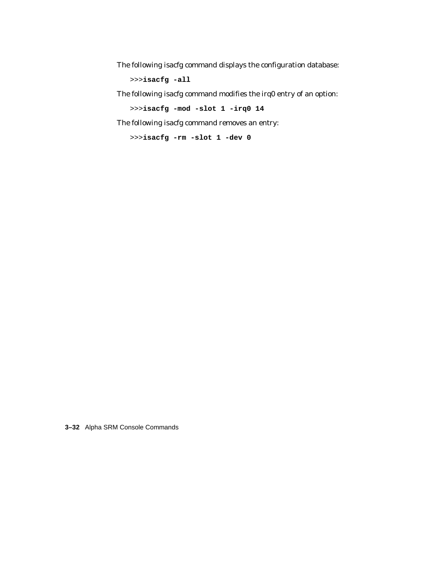The following isacfg command displays the configuration database:

>>>**isacfg -all**

The following isacfg command modifies the irq0 entry of an option:

```
>>>isacfg -mod -slot 1 -irq0 14
```
The following isacfg command removes an entry:

```
>>>isacfg -rm -slot 1 -dev 0
```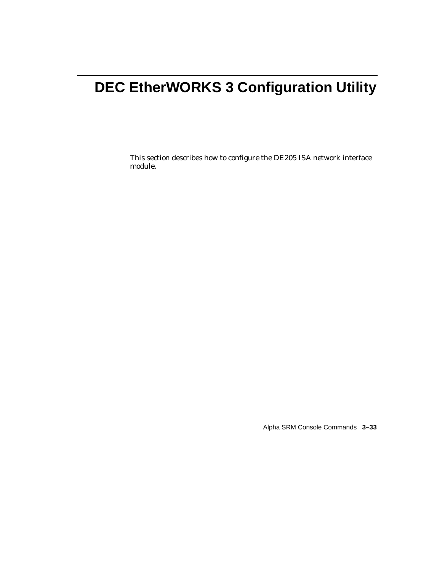# **DEC EtherWORKS 3 Configuration Utility**

This section describes how to configure the DE205 ISA network interface module.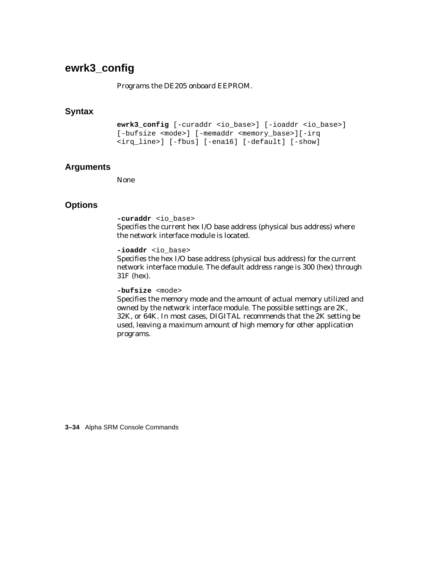# **ewrk3\_config**

#### Programs the DE205 onboard EEPROM.

## **Syntax**

```
ewrk3_config [-curaddr <io_base>] [-ioaddr <io_base>]
[-bufsize <mode>] [-memaddr <memory_base>][-irq
<irq_line>] [-fbus] [-ena16] [-default] [-show]
```
#### **Arguments**

None

# **Options**

```
-curaddr <io_base>
```
Specifies the current hex I/O base address (physical bus address) where the network interface module is located.

```
-ioaddr <io_base>
```
Specifies the hex I/O base address (physical bus address) for the current network interface module. The default address range is 300 (hex) through 31F (hex).

**-bufsize** <mode>

Specifies the memory mode and the amount of actual memory utilized and owned by the network interface module. The possible settings are 2K, 32K, or 64K. In most cases, DIGITAL recommends that the 2K setting be used, leaving a maximum amount of high memory for other application programs.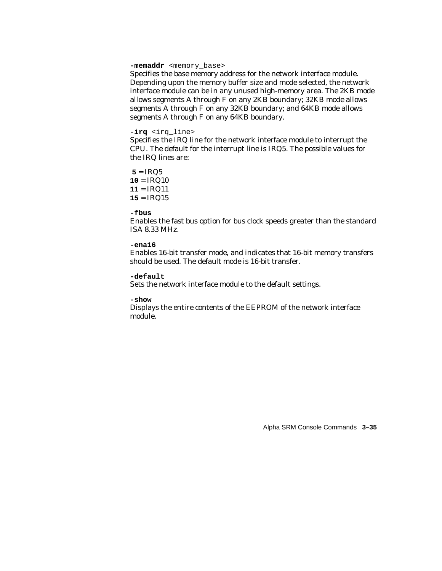-memaddr <memory base>

Specifies the base memory address for the network interface module. Depending upon the memory buffer size and mode selected, the network interface module can be in any unused high-memory area. The 2KB mode allows segments A through F on any 2KB boundary; 32KB mode allows segments A through F on any 32KB boundary; and 64KB mode allows segments A through F on any 64KB boundary.

#### **-irq** <irq\_line>

Specifies the IRQ line for the network interface module to interrupt the CPU. The default for the interrupt line is IRQ5. The possible values for the IRQ lines are:

 $5 = IRQ5$  $10 = IRQ10$ **11** = IRQ11 **15** = IRQ15

**-fbus**

Enables the fast bus option for bus clock speeds greater than the standard ISA 8.33 MHz.

#### **-ena16**

Enables 16-bit transfer mode, and indicates that 16-bit memory transfers should be used. The default mode is 16-bit transfer.

#### **-default**

Sets the network interface module to the default settings.

#### **-show**

Displays the entire contents of the EEPROM of the network interface module.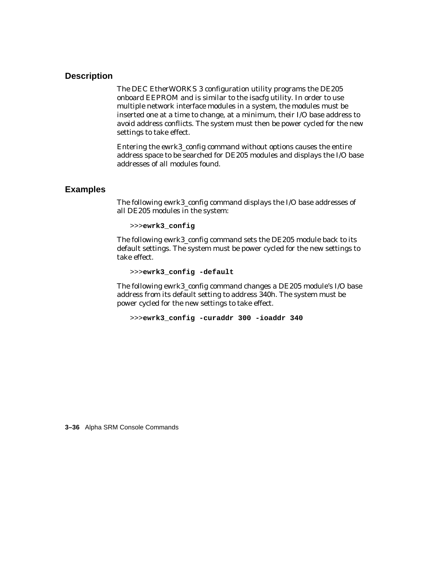# **Description**

The DEC EtherWORKS 3 configuration utility programs the DE205 onboard EEPROM and is similar to the isacfg utility. In order to use multiple network interface modules in a system, the modules must be inserted one at a time to change, at a minimum, their I/O base address to avoid address conflicts. The system must then be power cycled for the new settings to take effect.

Entering the ewrk3\_config command without options causes the entire address space to be searched for DE205 modules and displays the I/O base addresses of all modules found.

# **Examples**

The following ewrk3\_config command displays the I/O base addresses of all DE205 modules in the system:

```
>>>ewrk3_config
```
The following ewrk3\_config command sets the DE205 module back to its default settings. The system must be power cycled for the new settings to take effect.

>>>**ewrk3\_config -default**

The following ewrk3\_config command changes a DE205 module's I/O base address from its default setting to address 340h. The system must be power cycled for the new settings to take effect.

>>>**ewrk3\_config -curaddr 300 -ioaddr 340**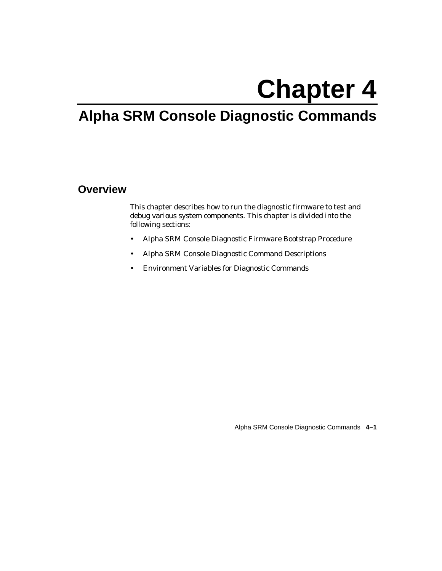# **Chapter 4**

# **Alpha SRM Console Diagnostic Commands**

# **Overview**

This chapter describes how to run the diagnostic firmware to test and debug various system components. This chapter is divided into the following sections:

- Alpha SRM Console Diagnostic Firmware Bootstrap Procedure
- Alpha SRM Console Diagnostic Command Descriptions
- Environment Variables for Diagnostic Commands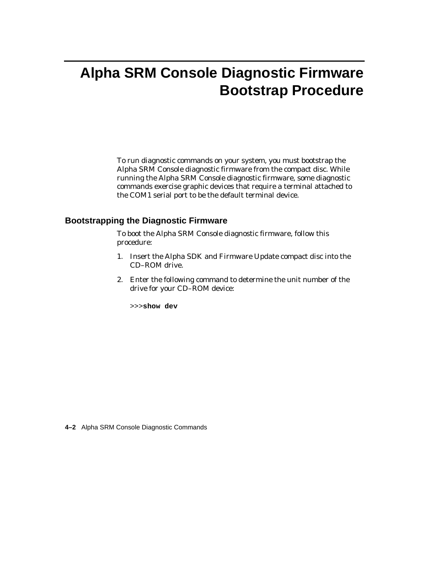# **Alpha SRM Console Diagnostic Firmware Bootstrap Procedure**

To run diagnostic commands on your system, you must bootstrap the Alpha SRM Console diagnostic firmware from the compact disc. While running the Alpha SRM Console diagnostic firmware, some diagnostic commands exercise graphic devices that require a terminal attached to the COM1 serial port to be the default terminal device.

# **Bootstrapping the Diagnostic Firmware**

To boot the Alpha SRM Console diagnostic firmware, follow this procedure:

- 1. Insert the Alpha SDK and Firmware Update compact disc into the CD–ROM drive.
- 2. Enter the following command to determine the unit number of the drive for your CD–ROM device:

>>>**show dev**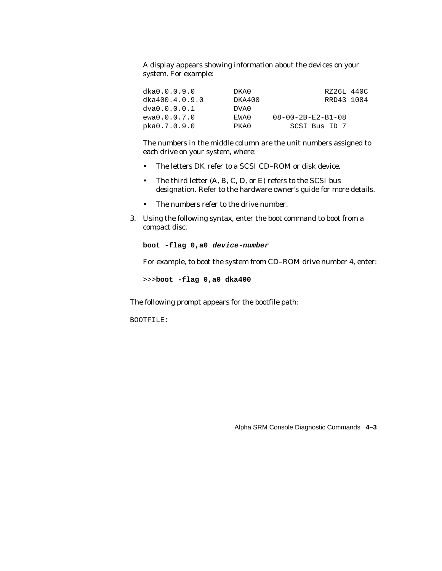A display appears showing information about the devices on your system. For example:

| dka0.0.0.9.0   | DKA0   | RZ26L 440C                    |  |
|----------------|--------|-------------------------------|--|
| dka400.4.0.9.0 | DKA400 | RRD43 1084                    |  |
| dva0.0.0.0.1   | DVA0   |                               |  |
| ewa0.0.0.7.0   | EWA0   | $08 - 00 - 2B - E2 - B1 - 08$ |  |
| pka0.7.0.9.0   | PKA0   | SCSI Bus ID 7                 |  |

The numbers in the middle column are the unit numbers assigned to each drive on your system, where:

- The letters DK refer to a SCSI CD–ROM or disk device.
- The third letter (A, B, C, D, or E) refers to the SCSI bus designation. Refer to the hardware owner's guide for more details.
- The numbers refer to the drive number.
- 3. Using the following syntax, enter the boot command to boot from a compact disc.

**boot -flag 0,a0 device-number**

For example, to boot the system from CD–ROM drive number 4, enter:

>>>**boot -flag 0,a0 dka400**

The following prompt appears for the bootfile path:

BOOTFILE: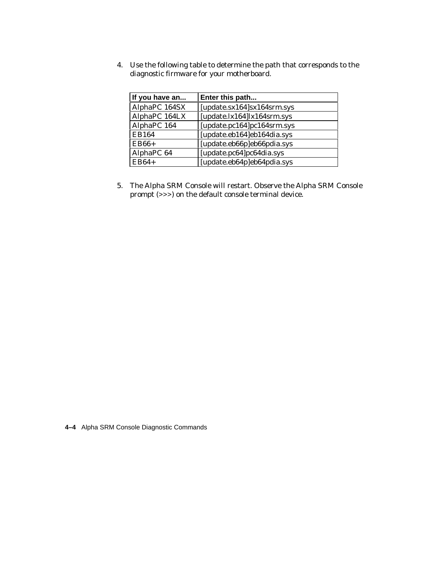4. Use the following table to determine the path that corresponds to the diagnostic firmware for your motherboard.

| If you have an | Enter this path             |
|----------------|-----------------------------|
| AlphaPC 164SX  | [update.sx164]sx164srm.sys  |
| AlphaPC 164LX  | $[update.k164]k164$ srm.sys |
| AlphaPC 164    | [update.pc164]pc164srm.sys  |
| <b>EB164</b>   | [update.eb164]eb164dia.sys  |
| $EB66+$        | [update.eb66p]eb66pdia.sys  |
| AlphaPC 64     | [update.pc64]pc64dia.sys    |
| $EB64+$        | [update.eb64p]eb64pdia.sys  |

5. The Alpha SRM Console will restart. Observe the Alpha SRM Console prompt (>>>) on the default console terminal device.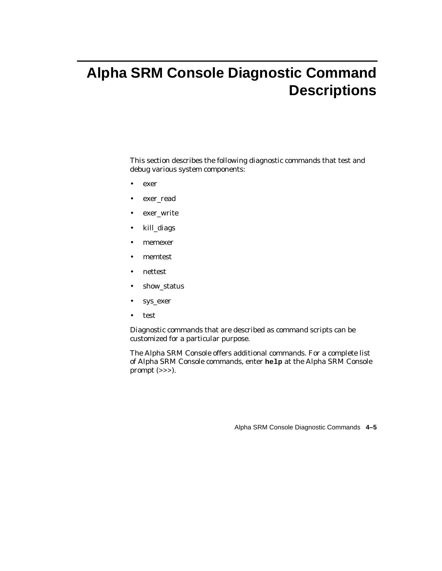# **Alpha SRM Console Diagnostic Command Descriptions**

This section describes the following diagnostic commands that test and debug various system components:

- exer
- exer\_read
- exer\_write
- kill\_diags
- memexer
- memtest
- nettest
- show\_status
- sys\_exer
- test

Diagnostic commands that are described as command scripts can be customized for a particular purpose.

The Alpha SRM Console offers additional commands. For a complete list of Alpha SRM Console commands, enter **help** at the Alpha SRM Console prompt (>>>).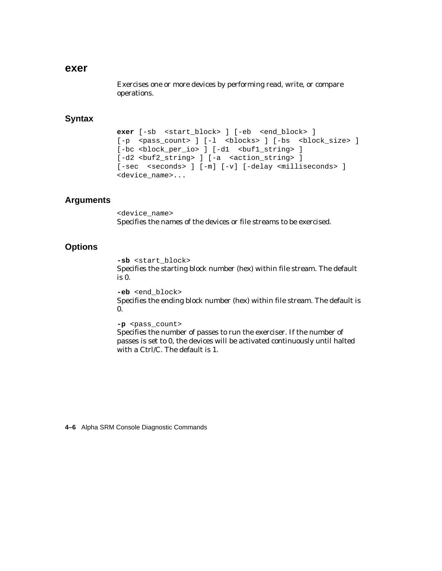#### **exer**

Exercises one or more devices by performing read, write, or compare operations.

#### **Syntax**

```
exer [-sb <start_block> ] [-eb <end_block> ]
[-p <pass_count> ] [-l <br/> <br/> <br/> (block_size> ]
[-bc <block per io> ] [-d1 <br/> <br/> <br/>string> ]
[-d2 <br/> <br/>string> ] [-a <action string> ]
[-sec <seconds> ] [-m] [-v] [-delay <milliseconds> ]
<device_name>...
```
## **Arguments**

<device\_name> Specifies the names of the devices or file streams to be exercised.

# **Options**

**-sb** <start\_block> Specifies the starting block number (hex) within file stream. The default is 0.

**-eb** <end\_block> Specifies the ending block number (hex) within file stream. The default is 0.

**-p** <pass\_count>

Specifies the number of passes to run the exerciser. If the number of passes is set to 0, the devices will be activated continuously until halted with a Ctrl/C. The default is 1.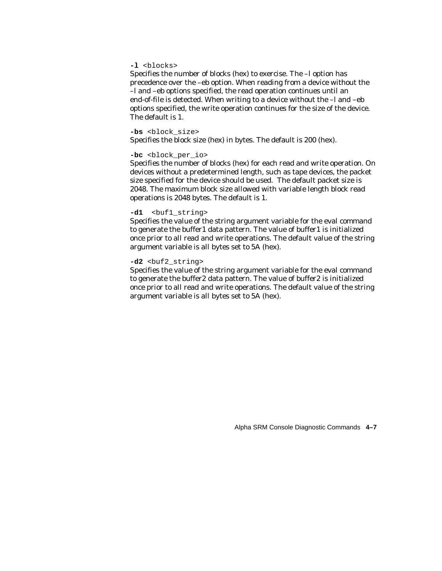#### **-l** <blocks>

Specifies the number of blocks (hex) to exercise. The –l option has precedence over the –eb option. When reading from a device without the –l and –eb options specified, the read operation continues until an end-of-file is detected. When writing to a device without the  $-l$  and  $-eb$ options specified, the write operation continues for the size of the device. The default is 1.

#### -bs <block size>

Specifies the block size (hex) in bytes. The default is 200 (hex).

#### -bc <block per io>

Specifies the number of blocks (hex) for each read and write operation. On devices without a predetermined length, such as tape devices, the packet size specified for the device should be used. The default packet size is 2048. The maximum block size allowed with variable length block read operations is 2048 bytes. The default is 1.

#### **-d1** <buf1\_string>

Specifies the value of the string argument variable for the eval command to generate the buffer1 data pattern. The value of buffer1 is initialized once prior to all read and write operations. The default value of the string argument variable is all bytes set to 5A (hex).

#### -d2 <br />buf2 string>

Specifies the value of the string argument variable for the eval command to generate the buffer2 data pattern. The value of buffer2 is initialized once prior to all read and write operations. The default value of the string argument variable is all bytes set to 5A (hex).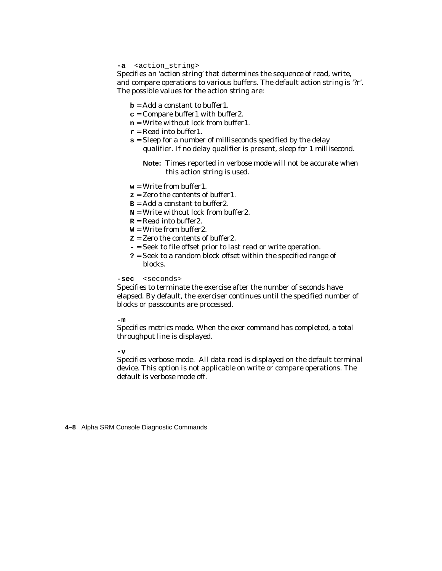#### **-a** <action\_string>

Specifies an 'action string' that determines the sequence of read, write, and compare operations to various buffers. The default action string is '?r'. The possible values for the action string are:

- **b** = Add a constant to buffer1.
- **c** = Compare buffer1 with buffer2.
- **n** = Write without lock from buffer1.
- **r** = Read into buffer1.
- **s** = Sleep for a number of milliseconds specified by the delay qualifier. If no delay qualifier is present, sleep for 1 millisecond.
	- **Note:** Times reported in verbose mode will not be accurate when this action string is used.
- **w** = Write from buffer1.
- **z** = Zero the contents of buffer1.
- $B = Add$  a constant to buffer?
- **N** = Write without lock from buffer2.
- **R** = Read into buffer2.
- $W = W$ rite from buffer?
- **Z** = Zero the contents of buffer2.
- **-** = Seek to file offset prior to last read or write operation.
- **?** = Seek to a random block offset within the specified range of blocks.

#### **-sec** <seconds>

Specifies to terminate the exercise after the number of seconds have elapsed. By default, the exerciser continues until the specified number of blocks or passcounts are processed.

#### **-m**

Specifies metrics mode. When the exer command has completed, a total throughput line is displayed.

#### $-rr$

Specifies verbose mode. All data read is displayed on the default terminal device. This option is not applicable on write or compare operations. The default is verbose mode off.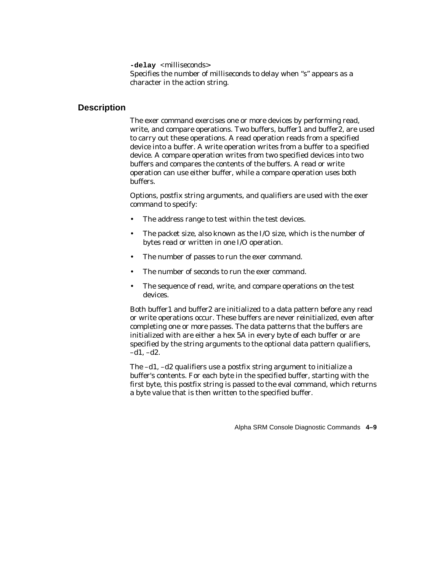**-delay** <milliseconds> Specifies the number of milliseconds to delay when "s" appears as a character in the action string.

#### **Description**

The exer command exercises one or more devices by performing read, write, and compare operations. Two buffers, buffer1 and buffer2, are used to carry out these operations. A read operation reads from a specified device into a buffer. A write operation writes from a buffer to a specified device. A compare operation writes from two specified devices into two buffers and compares the contents of the buffers. A read or write operation can use either buffer, while a compare operation uses both buffers.

Options, postfix string arguments, and qualifiers are used with the exer command to specify:

- The address range to test within the test devices.
- The packet size, also known as the I/O size, which is the number of bytes read or written in one I/O operation.
- The number of passes to run the exer command.
- The number of seconds to run the exer command.
- The sequence of read, write, and compare operations on the test devices.

Both buffer1 and buffer2 are initialized to a data pattern before any read or write operations occur. These buffers are never reinitialized, even after completing one or more passes. The data patterns that the buffers are initialized with are either a hex 5A in every byte of each buffer or are specified by the string arguments to the optional data pattern qualifiers,  $-d1, -d2.$ 

The –d1, –d2 qualifiers use a postfix string argument to initialize a buffer's contents. For each byte in the specified buffer, starting with the first byte, this postfix string is passed to the eval command, which returns a byte value that is then written to the specified buffer.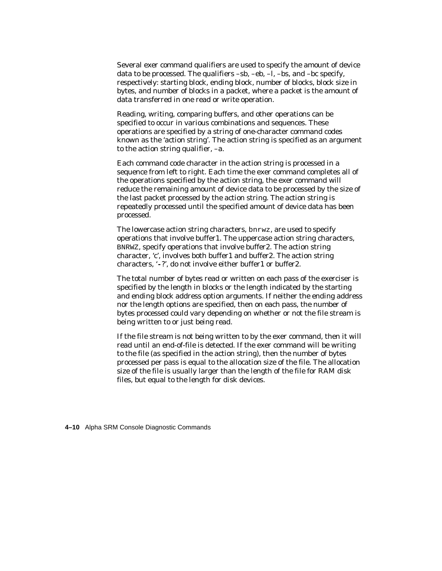Several exer command qualifiers are used to specify the amount of device data to be processed. The qualifiers  $-sb$ ,  $-eb$ ,  $-1$ ,  $-sb$ , and  $-bc$  specify, respectively: starting block, ending block, number of blocks, block size in bytes, and number of blocks in a packet, where a packet is the amount of data transferred in one read or write operation.

Reading, writing, comparing buffers, and other operations can be specified to occur in various combinations and sequences. These operations are specified by a string of one-character command codes known as the 'action string'. The action string is specified as an argument to the action string qualifier, –a.

Each command code character in the action string is processed in a sequence from left to right. Each time the exer command completes all of the operations specified by the action string, the exer command will reduce the remaining amount of device data to be processed by the size of the last packet processed by the action string. The action string is repeatedly processed until the specified amount of device data has been processed.

The lowercase action string characters, bnrwz, are used to specify operations that involve buffer1. The uppercase action string characters, BNRWZ, specify operations that involve buffer2. The action string character, 'c', involves both buffer1 and buffer2. The action string characters, '**-**?', do not involve either buffer1 or buffer2.

The total number of bytes read or written on each pass of the exerciser is specified by the length in blocks or the length indicated by the starting and ending block address option arguments. If neither the ending address nor the length options are specified, then on each pass, the number of bytes processed could vary depending on whether or not the file stream is being written to or just being read.

If the file stream is not being written to by the exer command, then it will read until an end-of-file is detected. If the exer command will be writing to the file (as specified in the action string), then the number of bytes processed per pass is equal to the allocation size of the file. The allocation size of the file is usually larger than the length of the file for RAM disk files, but equal to the length for disk devices.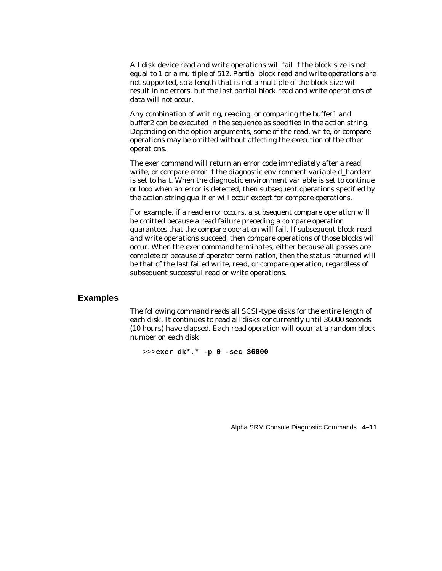All disk device read and write operations will fail if the block size is not equal to 1 or a multiple of 512. Partial block read and write operations are not supported, so a length that is not a multiple of the block size will result in no errors, but the last partial block read and write operations of data will not occur.

Any combination of writing, reading, or comparing the buffer1 and buffer2 can be executed in the sequence as specified in the action string. Depending on the option arguments, some of the read, write, or compare operations may be omitted without affecting the execution of the other operations.

The exer command will return an error code immediately after a read, write, or compare error if the diagnostic environment variable d\_harderr is set to halt. When the diagnostic environment variable is set to continue or loop when an error is detected, then subsequent operations specified by the action string qualifier will occur except for compare operations.

For example, if a read error occurs, a subsequent compare operation will be omitted because a read failure preceding a compare operation guarantees that the compare operation will fail. If subsequent block read and write operations succeed, then compare operations of those blocks will occur. When the exer command terminates, either because all passes are complete or because of operator termination, then the status returned will be that of the last failed write, read, or compare operation, regardless of subsequent successful read or write operations.

#### **Examples**

The following command reads all SCSI-type disks for the entire length of each disk. It continues to read all disks concurrently until 36000 seconds (10 hours) have elapsed. Each read operation will occur at a random block number on each disk.

>>>**exer dk\*.\* -p 0 -sec 36000**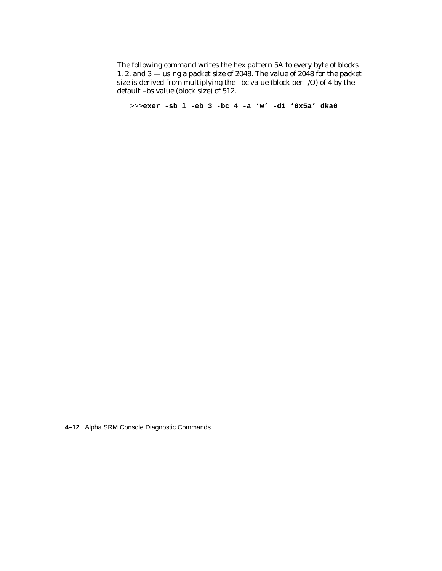The following command writes the hex pattern 5A to every byte of blocks 1, 2, and 3 — using a packet size of 2048. The value of 2048 for the packet size is derived from multiplying the –bc value (block per I/O) of 4 by the default –bs value (block size) of 512.

>>>**exer -sb l -eb 3 -bc 4 -a 'w' -d1 '0x5a' dka0**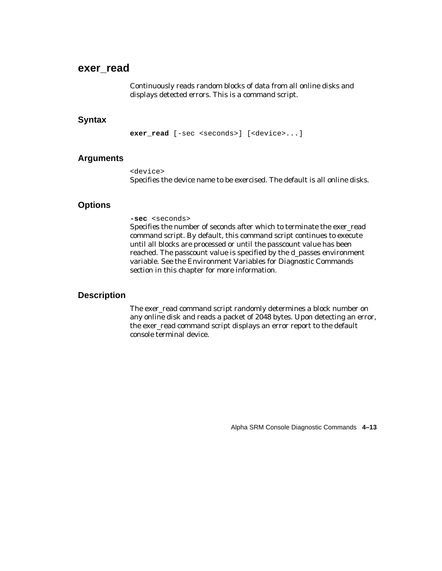# **exer\_read**

Continuously reads random blocks of data from all online disks and displays detected errors. This is a command script.

#### **Syntax**

**exer read** [-sec <seconds>] [<device>...]

#### **Arguments**

<device> Specifies the device name to be exercised. The default is all online disks.

## **Options**

#### **-sec** <seconds>

Specifies the number of seconds after which to terminate the exer\_read command script. By default, this command script continues to execute until all blocks are processed or until the passcount value has been reached. The passcount value is specified by the d\_passes environment variable. See the Environment Variables for Diagnostic Commands section in this chapter for more information.

#### **Description**

The exer\_read command script randomly determines a block number on any online disk and reads a packet of 2048 bytes. Upon detecting an error, the exer\_read command script displays an error report to the default console terminal device.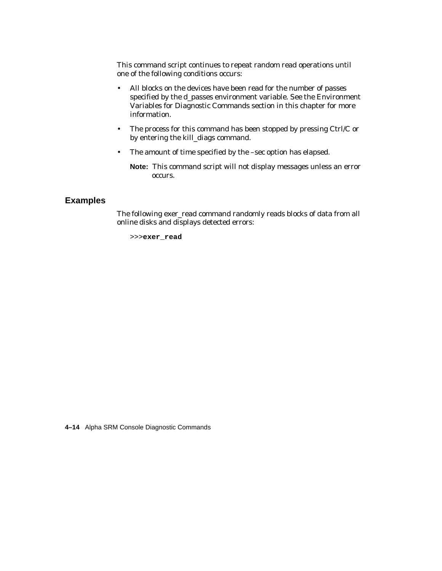This command script continues to repeat random read operations until one of the following conditions occurs:

- All blocks on the devices have been read for the number of passes specified by the d\_passes environment variable. See the Environment Variables for Diagnostic Commands section in this chapter for more information.
- The process for this command has been stopped by pressing Ctrl/C or by entering the kill\_diags command.
- The amount of time specified by the –sec option has elapsed.

**Note:** This command script will not display messages unless an error occurs.

# **Examples**

The following exer\_read command randomly reads blocks of data from all online disks and displays detected errors:

>>>**exer\_read**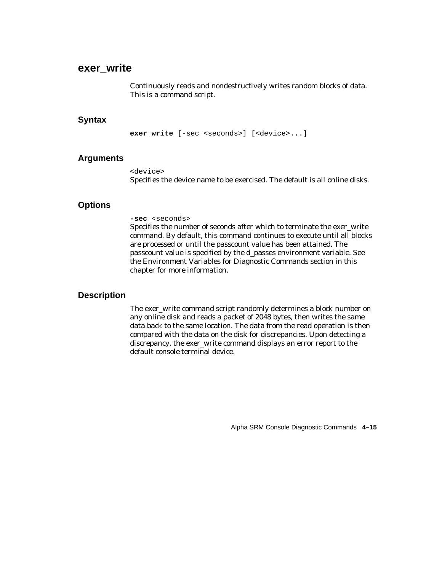# **exer\_write**

Continuously reads and nondestructively writes random blocks of data. This is a command script.

#### **Syntax**

**exer write** [-sec <seconds>] [<device>...]

## **Arguments**

<device> Specifies the device name to be exercised. The default is all online disks.

# **Options**

#### **-sec** <seconds>

Specifies the number of seconds after which to terminate the exer\_write command. By default, this command continues to execute until all blocks are processed or until the passcount value has been attained. The passcount value is specified by the d\_passes environment variable. See the Environment Variables for Diagnostic Commands section in this chapter for more information.

# **Description**

The exer\_write command script randomly determines a block number on any online disk and reads a packet of 2048 bytes, then writes the same data back to the same location. The data from the read operation is then compared with the data on the disk for discrepancies. Upon detecting a discrepancy, the exer\_write command displays an error report to the default console terminal device.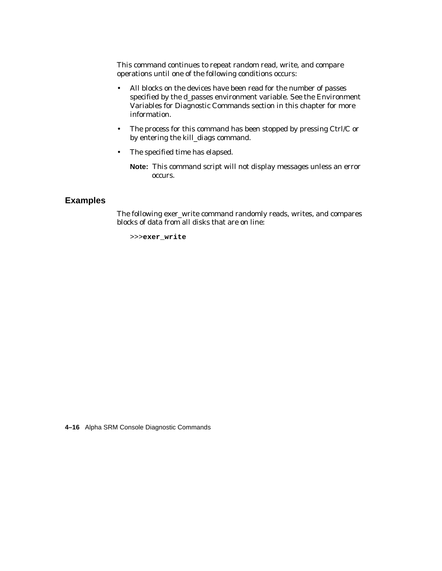This command continues to repeat random read, write, and compare operations until one of the following conditions occurs:

- All blocks on the devices have been read for the number of passes specified by the d\_passes environment variable. See the Environment Variables for Diagnostic Commands section in this chapter for more information.
- The process for this command has been stopped by pressing Ctrl/C or by entering the kill\_diags command.
- The specified time has elapsed.

**Note:** This command script will not display messages unless an error occurs.

# **Examples**

The following exer\_write command randomly reads, writes, and compares blocks of data from all disks that are on line:

>>>**exer\_write**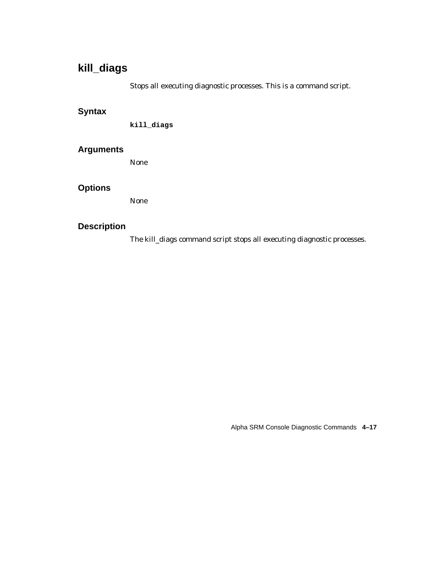# **kill\_diags**

Stops all executing diagnostic processes. This is a command script.

# **Syntax**

**kill\_diags**

# **Arguments**

None

# **Options**

None

# **Description**

The kill\_diags command script stops all executing diagnostic processes.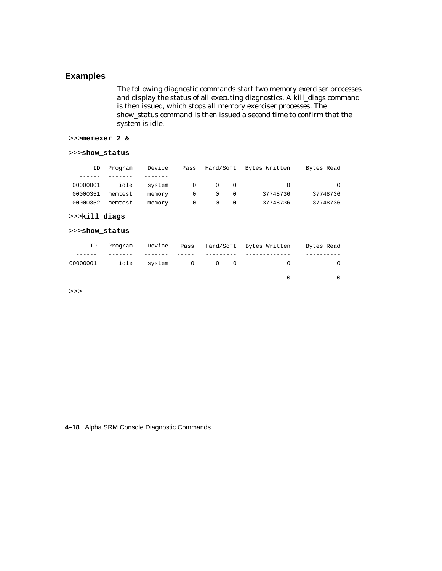# **Examples**

The following diagnostic commands start two memory exerciser processes and display the status of all executing diagnostics. A kill\_diags command is then issued, which stops all memory exerciser processes. The show\_status command is then issued a second time to confirm that the system is idle.

>>>**memexer 2 &**

#### >>>**show\_status**

| Bytes Read | Hard/Soft Bytes Written |                                     |                  | Pass       | Device | Program | ΙD       |
|------------|-------------------------|-------------------------------------|------------------|------------|--------|---------|----------|
|            |                         |                                     |                  |            |        |         |          |
|            | $\bigcap$               | $\overline{0}$ 0                    |                  | $\bigcirc$ | system | idle    | 00000001 |
| 37748736   | 37748736                | $\begin{matrix} 0 & 0 \end{matrix}$ |                  | $\Omega$   | memory | memtest | 00000351 |
| 37748736   | 37748736                |                                     | $\left( \right)$ |            | memory | memtest | 00000352 |

#### >>>**kill\_diags**

#### >>>**show\_status**

| ID | Program |  |  | Device Pass Hard/Soft Bytes-Written - Bytes-Read |  |
|----|---------|--|--|--------------------------------------------------|--|
|    |         |  |  |                                                  |  |
|    |         |  |  | 00000001 idle system 0 0 0 0 0                   |  |
|    |         |  |  |                                                  |  |

>>>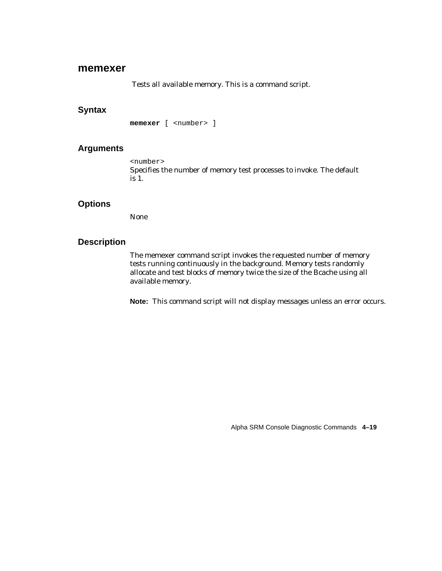#### **memexer**

Tests all available memory. This is a command script.

### **Syntax**

**memexer** [ <number> ]

#### **Arguments**

<number> Specifies the number of memory test processes to invoke. The default is 1.

# **Options**

None

### **Description**

The memexer command script invokes the requested number of memory tests running continuously in the background. Memory tests randomly allocate and test blocks of memory twice the size of the Bcache using all available memory.

**Note:** This command script will not display messages unless an error occurs.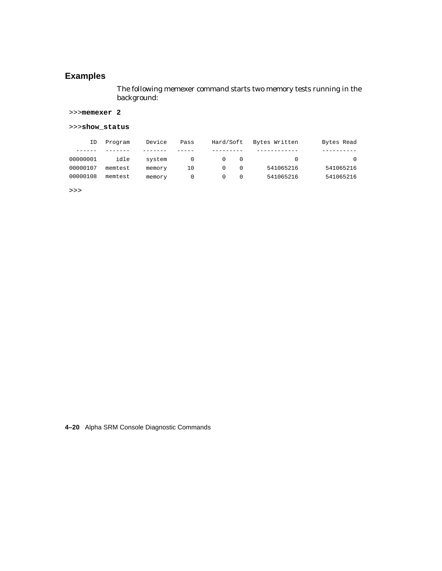# **Examples**

The following memexer command starts two memory tests running in the background:

#### >>>**memexer 2**

#### >>>**show\_status**

| Bytes Read | Bytes Written | Hard/Soft | Pass | Device | Program | ΙD       |
|------------|---------------|-----------|------|--------|---------|----------|
|            |               |           |      |        |         |          |
| $\Omega$   |               | $\Omega$  |      | system | idle    | 00000001 |
| 541065216  | 541065216     | $\Omega$  | 10   | memory | memtest | 00000107 |
| 541065216  | 541065216     |           |      | memory | memtest | 00000108 |

>>>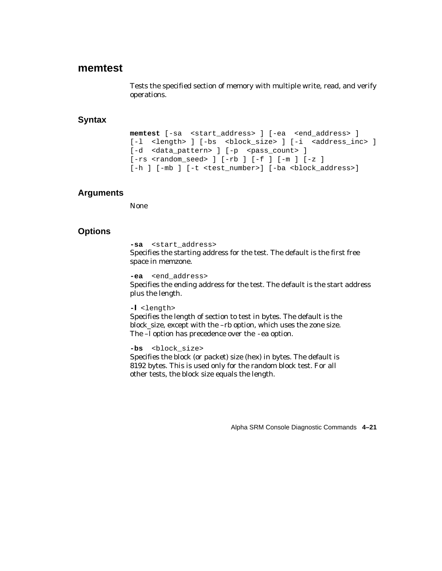# **memtest**

Tests the specified section of memory with multiple write, read, and verify operations.

# **Syntax**

```
memtest [-sa <start_address> ] [-ea <end_address> ]
[-1 <length> ] [-bs <br/> <br/> <br/>block_size> ] [-i <address_inc> ]
[-d <data_pattern> ] [-p <pass_count> ]
[-rs <random seed> ] [-rb] [-f] [-m] [-z][-h ] [-mb ] [-t <test number>] [-ba <block address>]
```
# **Arguments**

None

# **Options**

**-sa** <start\_address>

Specifies the starting address for the test. The default is the first free space in memzone.

#### **-ea** <end\_address>

Specifies the ending address for the test. The default is the start address plus the length.

#### **-l** <length>

Specifies the length of section to test in bytes. The default is the block\_size, except with the –rb option, which uses the zone size. The –l option has precedence over the -ea option.

#### -bs <block size>

Specifies the block (or packet) size (hex) in bytes. The default is 8192 bytes. This is used only for the random block test. For all other tests, the block size equals the length.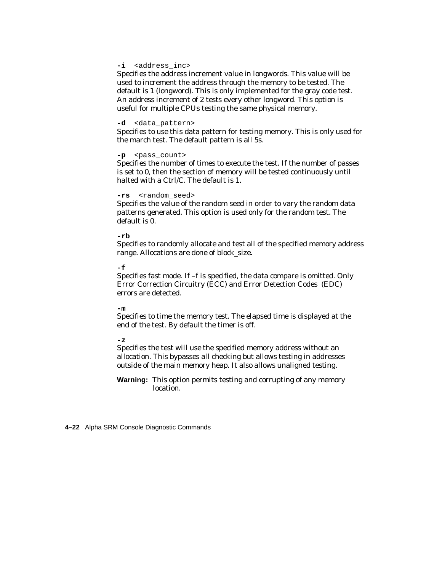#### **-i** <address\_inc>

Specifies the address increment value in longwords. This value will be used to increment the address through the memory to be tested. The default is 1 (longword). This is only implemented for the gray code test. An address increment of 2 tests every other longword. This option is useful for multiple CPUs testing the same physical memory.

#### **-d** <data\_pattern>

Specifies to use this data pattern for testing memory. This is only used for the march test. The default pattern is all 5s.

#### **-p** <pass\_count>

Specifies the number of times to execute the test. If the number of passes is set to 0, then the section of memory will be tested continuously until halted with a Ctrl/C. The default is 1.

#### **-rs** <random\_seed>

Specifies the value of the random seed in order to vary the random data patterns generated. This option is used only for the random test. The default is 0.

#### **-rb**

Specifies to randomly allocate and test all of the specified memory address range. Allocations are done of block\_size.

#### **-f**

Specifies fast mode. If –f is specified, the data compare is omitted. Only Error Correction Circuitry (ECC) and Error Detection Codes (EDC) errors are detected.

#### **-m**

Specifies to time the memory test. The elapsed time is displayed at the end of the test. By default the timer is off.

#### **-z**

Specifies the test will use the specified memory address without an allocation. This bypasses all checking but allows testing in addresses outside of the main memory heap. It also allows unaligned testing.

**Warning:** This option permits testing and corrupting of any memory location.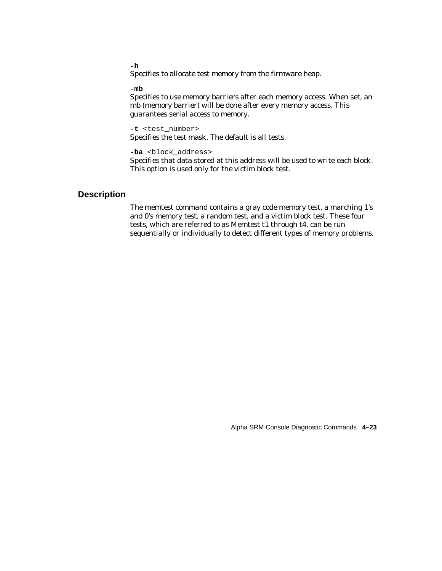**-h**

Specifies to allocate test memory from the firmware heap.

#### **-mb**

Specifies to use memory barriers after each memory access. When set, an mb (memory barrier) will be done after every memory access. This guarantees serial access to memory.

**-t** <test\_number> Specifies the test mask. The default is all tests.

-ba <block address>

Specifies that data stored at this address will be used to write each block. This option is used only for the victim block test.

## **Description**

The memtest command contains a gray code memory test, a marching 1's and 0's memory test, a random test, and a victim block test. These four tests, which are referred to as Memtest t1 through t4, can be run sequentially or individually to detect different types of memory problems.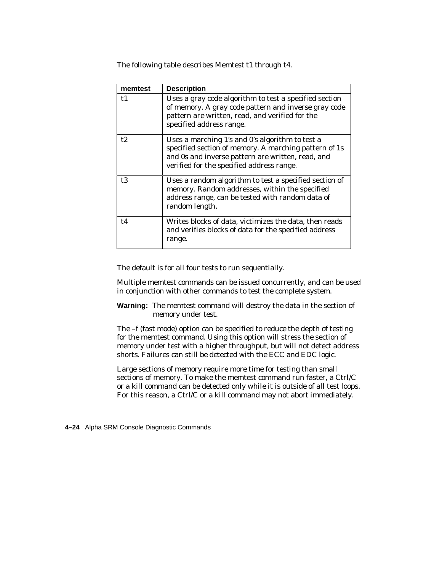The following table describes Memtest t1 through t4.

| memtest | <b>Description</b>                                                                                                                                                                                         |
|---------|------------------------------------------------------------------------------------------------------------------------------------------------------------------------------------------------------------|
| t1      | Uses a gray code algorithm to test a specified section<br>of memory. A gray code pattern and inverse gray code<br>pattern are written, read, and verified for the<br>specified address range.              |
| t2      | Uses a marching 1's and 0's algorithm to test a<br>specified section of memory. A marching pattern of 1s<br>and 0s and inverse pattern are written, read, and<br>verified for the specified address range. |
| t3      | Uses a random algorithm to test a specified section of<br>memory. Random addresses, within the specified<br>address range, can be tested with random data of<br>random length.                             |
| t4      | Writes blocks of data, victimizes the data, then reads<br>and verifies blocks of data for the specified address<br>range.                                                                                  |

The default is for all four tests to run sequentially.

Multiple memtest commands can be issued concurrently, and can be used in conjunction with other commands to test the complete system.

**Warning:** The memtest command will destroy the data in the section of memory under test.

The –f (fast mode) option can be specified to reduce the depth of testing for the memtest command. Using this option will stress the section of memory under test with a higher throughput, but will not detect address shorts. Failures can still be detected with the ECC and EDC logic.

Large sections of memory require more time for testing than small sections of memory. To make the memtest command run faster, a Ctrl/C or a kill command can be detected only while it is outside of all test loops. For this reason, a Ctrl/C or a kill command may not abort immediately.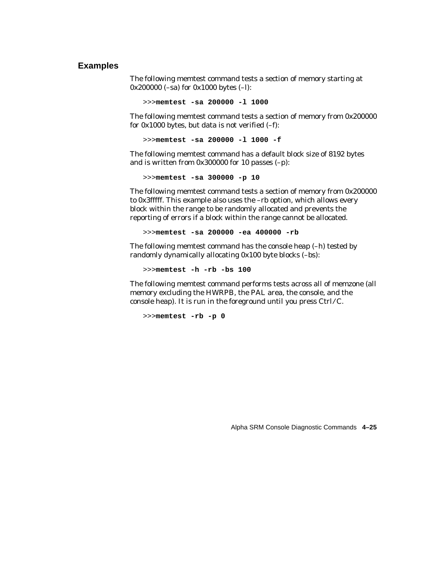#### **Examples**

The following memtest command tests a section of memory starting at 0x200000 (–sa) for 0x1000 bytes (–l):

>>>**memtest -sa 200000 -l 1000**

The following memtest command tests a section of memory from 0x200000 for  $0x1000$  bytes, but data is not verified  $(-f)$ :

>>>**memtest -sa 200000 -l 1000 -f**

The following memtest command has a default block size of 8192 bytes and is written from 0x300000 for 10 passes (–p):

>>>**memtest -sa 300000 -p 10**

The following memtest command tests a section of memory from 0x200000 to 0x3fffff. This example also uses the –rb option, which allows every block within the range to be randomly allocated and prevents the reporting of errors if a block within the range cannot be allocated.

>>>**memtest -sa 200000 -ea 400000 -rb**

The following memtest command has the console heap (–h) tested by randomly dynamically allocating 0x100 byte blocks (–bs):

>>>**memtest -h -rb -bs 100** 

The following memtest command performs tests across all of memzone (all memory excluding the HWRPB, the PAL area, the console, and the console heap). It is run in the foreground until you press  $Ctrl/C$ .

>>>**memtest -rb -p 0**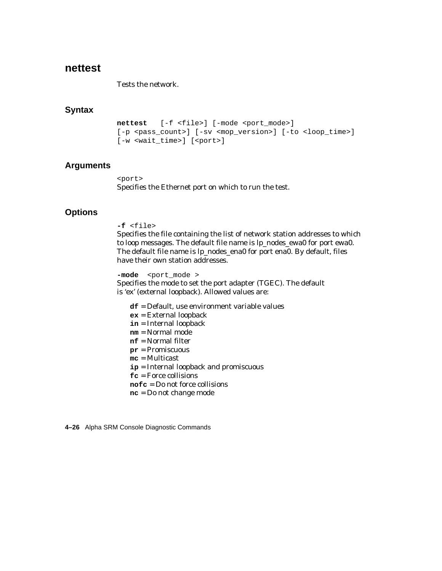# **nettest**

Tests the network.

# **Syntax**

```
nettest [-f <file>] [-mode <port mode>]
[-p \text{ spass count}] [-sv \text{ comp version}] [-to \text{ slope time}][-w <wait time>] [<port>]
```
# **Arguments**

<port> Specifies the Ethernet port on which to run the test.

# **Options**

#### **-f** <file>

Specifies the file containing the list of network station addresses to which to loop messages. The default file name is lp\_nodes\_ewa0 for port ewa0. The default file name is lp\_nodes\_ena0 for port ena0. By default, files have their own station addresses.

-mode <port\_mode > Specifies the mode to set the port adapter (TGEC). The default is 'ex' (external loopback). Allowed values are:

- **df** = Default, use environment variable values
- **ex** = External loopback
- **in** = Internal loopback
- **nm** = Normal mode
- **nf** = Normal filter
- **pr** = Promiscuous
- **mc** = Multicast
- **ip** = Internal loopback and promiscuous
- **fc** = Force collisions
- **nofc** = Do not force collisions
- **nc** = Do not change mode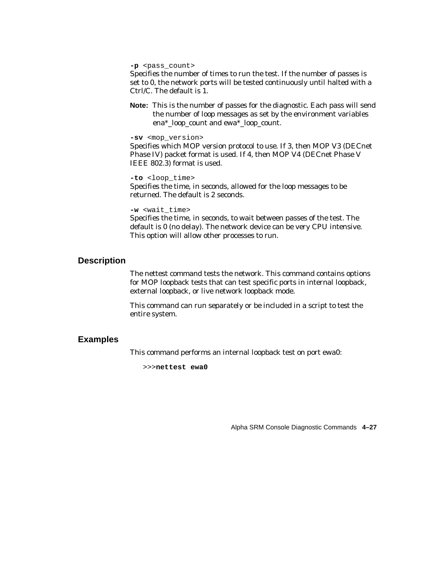**-p** <pass\_count>

Specifies the number of times to run the test. If the number of passes is set to 0, the network ports will be tested continuously until halted with a Ctrl/C. The default is 1.

**Note:** This is the number of passes for the diagnostic. Each pass will send the number of loop messages as set by the environment variables ena\*\_loop\_count and ewa\*\_loop\_count.

**-sv** <mop\_version>

Specifies which MOP version protocol to use. If 3, then MOP V3 (DECnet Phase IV) packet format is used. If 4, then MOP V4 (DECnet Phase V IEEE 802.3) format is used.

#### **-to** <loop\_time>

Specifies the time, in seconds, allowed for the loop messages to be returned. The default is 2 seconds.

**-w** <wait\_time>

Specifies the time, in seconds, to wait between passes of the test. The default is 0 (no delay). The network device can be very CPU intensive. This option will allow other processes to run.

#### **Description**

The nettest command tests the network. This command contains options for MOP loopback tests that can test specific ports in internal loopback, external loopback, or live network loopback mode.

This command can run separately or be included in a script to test the entire system.

#### **Examples**

This command performs an internal loopback test on port ewa0:

>>>**nettest ewa0**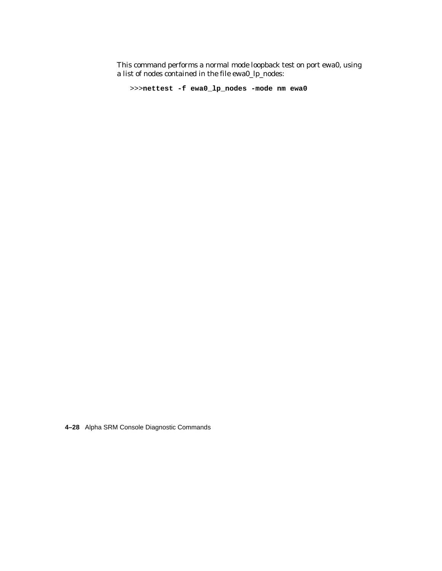This command performs a normal mode loopback test on port ewa0, using a list of nodes contained in the file ewa0\_lp\_nodes:

```
>>>nettest -f ewa0_lp_nodes -mode nm ewa0
```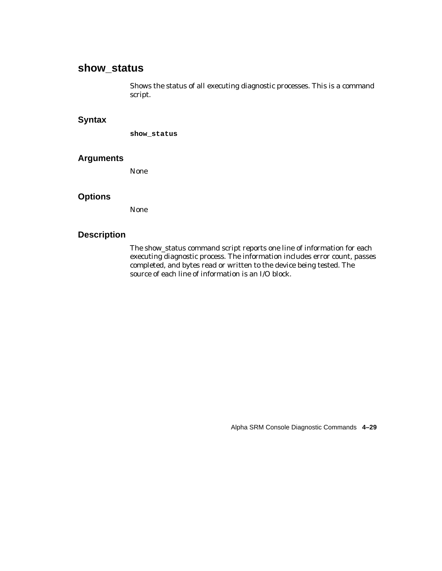# **show\_status**

Shows the status of all executing diagnostic processes. This is a command script.

# **Syntax**

**show\_status**

#### **Arguments**

None

# **Options**

None

### **Description**

The show\_status command script reports one line of information for each executing diagnostic process. The information includes error count, passes completed, and bytes read or written to the device being tested. The source of each line of information is an I/O block.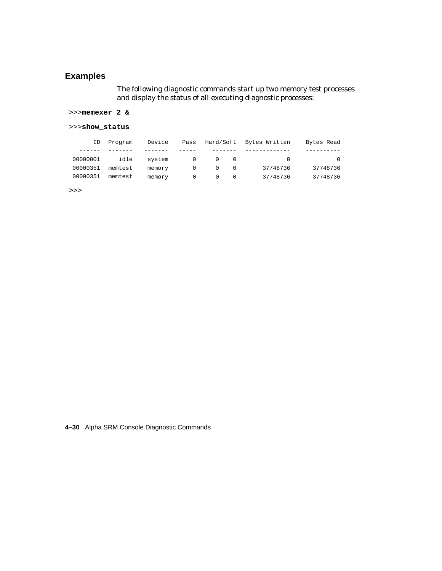# **Examples**

The following diagnostic commands start up two memory test processes and display the status of all executing diagnostic processes:

>>>**memexer 2 &**

#### >>>**show\_status**

| Bytes Read | Bytes Written | Hard/Soft     | Pass     | Device | Program | ID       |
|------------|---------------|---------------|----------|--------|---------|----------|
|            |               |               |          |        |         |          |
|            | $\bigcap$     | <sup>()</sup> | $\Omega$ | system | idle    | 00000001 |
| 37748736   | 37748736      | $\Omega$      |          | memory | memtest | 00000351 |
| 37748736   | 37748736      |               |          | memory | memtest | 00000351 |

>>>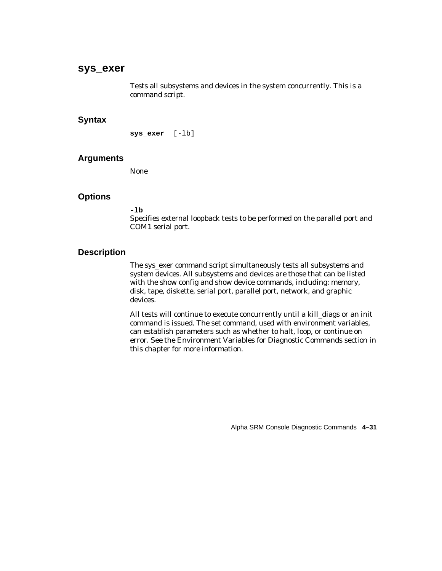# **sys\_exer**

Tests all subsystems and devices in the system concurrently. This is a command script.

# **Syntax**

**sys\_exer** [-lb]

#### **Arguments**

None

# **Options**

#### **-lb**

Specifies external loopback tests to be performed on the parallel port and COM1 serial port.

#### **Description**

The sys\_exer command script simultaneously tests all subsystems and system devices. All subsystems and devices are those that can be listed with the show config and show device commands, including: memory, disk, tape, diskette, serial port, parallel port, network, and graphic devices.

All tests will continue to execute concurrently until a kill\_diags or an init command is issued. The set command, used with environment variables, can establish parameters such as whether to halt, loop, or continue on error. See the Environment Variables for Diagnostic Commands section in this chapter for more information.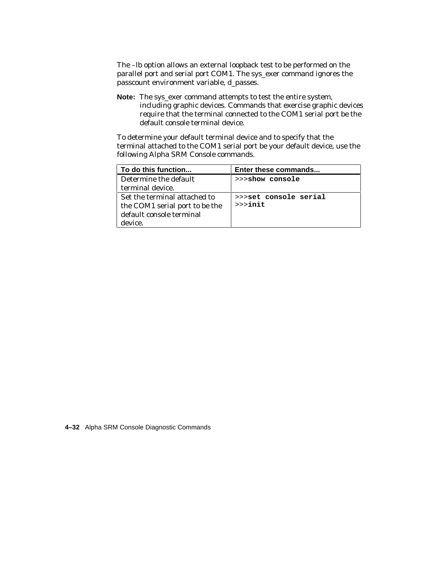The –lb option allows an external loopback test to be performed on the parallel port and serial port COM1. The sys\_exer command ignores the passcount environment variable, d\_passes.

**Note:** The sys\_exer command attempts to test the entire system, including graphic devices. Commands that exercise graphic devices require that the terminal connected to the COM1 serial port be the default console terminal device.

To determine your default terminal device and to specify that the terminal attached to the COM1 serial port be your default device, use the following Alpha SRM Console commands.

| To do this function            | Enter these commands  |
|--------------------------------|-----------------------|
| Determine the default          | >>>show console       |
| terminal device.               |                       |
| Set the terminal attached to   | >>>set console serial |
| the COM1 serial port to be the | $>>$ init             |
| default console terminal       |                       |
| device.                        |                       |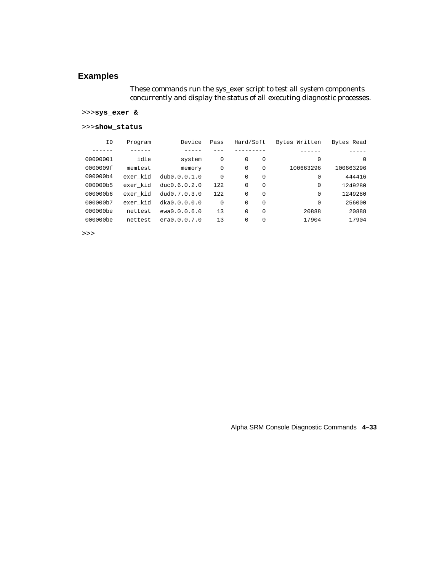# **Examples**

These commands run the sys\_exer script to test all system components concurrently and display the status of all executing diagnostic processes.

#### >>>**sys\_exer &**

#### >>>**show\_status**

| ID       | Program  | Device       | Pass        | Hard/Soft    |          | Bytes Written | Bytes Read |
|----------|----------|--------------|-------------|--------------|----------|---------------|------------|
|          |          |              |             |              |          |               |            |
| 00000001 | idle     | system       | $\mathbf 0$ | $\Omega$     | $\Omega$ | $\Omega$      | 0          |
| 0000009f | memtest  | memory       | $\mathbf 0$ | $\Omega$     | $\Omega$ | 100663296     | 100663296  |
| 000000b4 | exer kid | dub0.0.0.1.0 | $\mathbf 0$ | $\Omega$     | $\Omega$ | $\Omega$      | 444416     |
| 000000b5 | exer kid | duc0.6.0.2.0 | 122         | $\Omega$     | $\Omega$ | $\Omega$      | 1249280    |
| 000000b6 | exer kid | dud0.7.0.3.0 | 122         | <sup>0</sup> | $\Omega$ | $\Omega$      | 1249280    |
| 000000b7 | exer kid | dka0.0.0.0.0 | $\Omega$    | $\Omega$     | $\Omega$ | $\Omega$      | 256000     |
| 000000be | nettest  | ewa0.0.0.6.0 | 13          | $\Omega$     | $\Omega$ | 20888         | 20888      |
| 000000be | nettest  | era0.0.0.7.0 | 13          | 0            | 0        | 17904         | 17904      |

>>>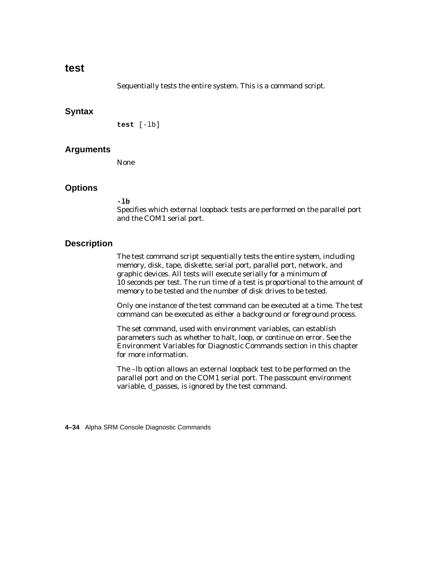# **test**

Sequentially tests the entire system. This is a command script.

## **Syntax**

```
test [-lb]
```
## **Arguments**

None

# **Options**

**-lb**

Specifies which external loopback tests are performed on the parallel port and the COM1 serial port.

# **Description**

The test command script sequentially tests the entire system, including memory, disk, tape, diskette, serial port, parallel port, network, and graphic devices. All tests will execute serially for a minimum of 10 seconds per test. The run time of a test is proportional to the amount of memory to be tested and the number of disk drives to be tested.

Only one instance of the test command can be executed at a time. The test command can be executed as either a background or foreground process.

The set command, used with environment variables, can establish parameters such as whether to halt, loop, or continue on error. See the Environment Variables for Diagnostic Commands section in this chapter for more information.

The –lb option allows an external loopback test to be performed on the parallel port and on the COM1 serial port. The passcount environment variable, d\_passes, is ignored by the test command.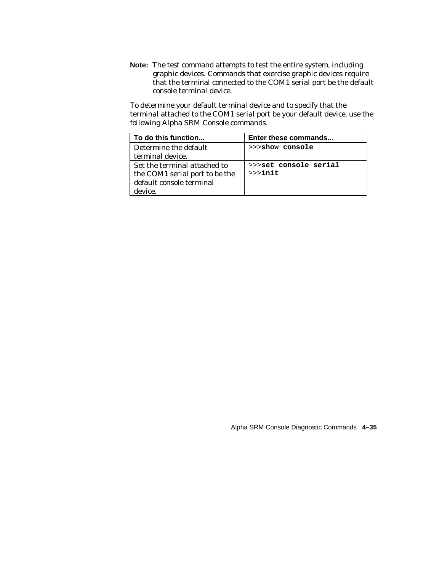**Note:** The test command attempts to test the entire system, including graphic devices. Commands that exercise graphic devices require that the terminal connected to the COM1 serial port be the default console terminal device.

To determine your default terminal device and to specify that the terminal attached to the COM1 serial port be your default device, use the following Alpha SRM Console commands.

| To do this function            | Enter these commands  |
|--------------------------------|-----------------------|
| Determine the default          | >>>show console       |
| terminal device.               |                       |
| Set the terminal attached to   | >>>set console serial |
| the COM1 serial port to be the | $>>$ init             |
| default console terminal       |                       |
| device.                        |                       |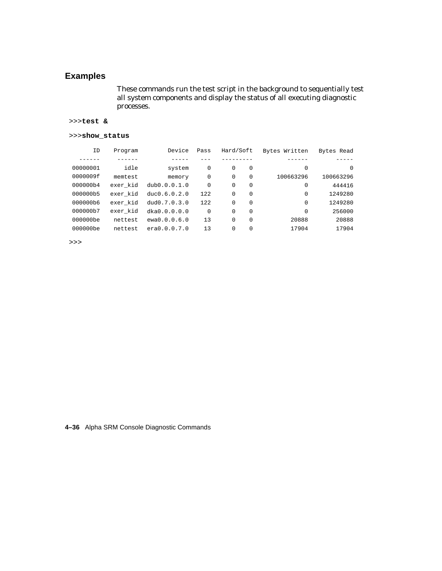# **Examples**

These commands run the test script in the background to sequentially test all system components and display the status of all executing diagnostic processes.

#### >>>**test &**

#### >>>**show\_status**

| ΙD       | Program  | Device       | Pass | Hard/Soft |          | Bytes Written | Bytes Read |
|----------|----------|--------------|------|-----------|----------|---------------|------------|
|          |          |              |      |           |          |               |            |
| 00000001 | idle     | system       | 0    | $\Omega$  | $\Omega$ | 0             | $\Omega$   |
| 0000009f | memtest  | memory       | 0    | $\Omega$  | $\Omega$ | 100663296     | 100663296  |
| 000000b4 | exer kid | dub0.0.0.1.0 | 0    | $\Omega$  | $\Omega$ | 0             | 444416     |
| 000000b5 | exer kid | duc0.6.0.2.0 | 122  | $\Omega$  | $\Omega$ | 0             | 1249280    |
| 000000b6 | exer kid | dud0.7.0.3.0 | 122  | $\Omega$  | $\Omega$ | 0             | 1249280    |
| 000000b7 | exer kid | dka0.0.0.0.0 | 0    | $\Omega$  | $\Omega$ | 0             | 256000     |
| 000000be | nettest  | ewa0.0.0.6.0 | 13   | $\Omega$  | $\Omega$ | 20888         | 20888      |
| 000000be | nettest  | era0.0.0.7.0 | 13   | $\Omega$  | 0        | 17904         | 17904      |

>>>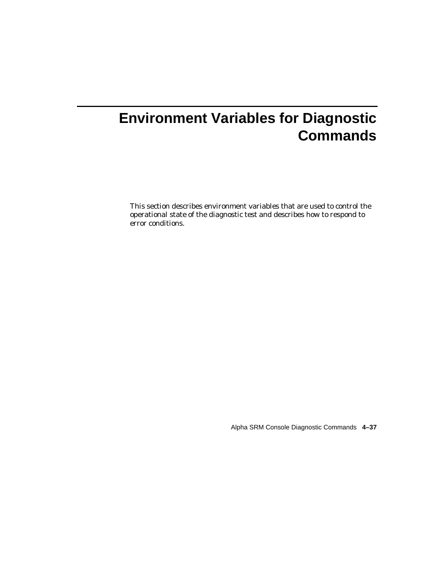# **Environment Variables for Diagnostic Commands**

This section describes environment variables that are used to control the operational state of the diagnostic test and describes how to respond to error conditions.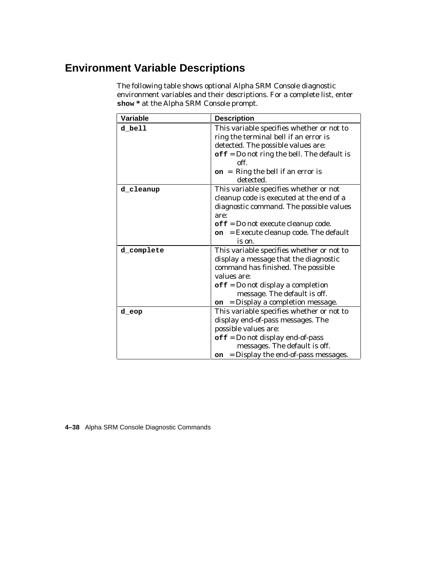# **Environment Variable Descriptions**

The following table shows optional Alpha SRM Console diagnostic environment variables and their descriptions. For a complete list, enter **show \*** at the Alpha SRM Console prompt.

| Variable   | <b>Description</b>                                                                                                                                                                                                                                                      |
|------------|-------------------------------------------------------------------------------------------------------------------------------------------------------------------------------------------------------------------------------------------------------------------------|
| d bell     | This variable specifies whether or not to<br>ring the terminal bell if an error is<br>detected. The possible values are:<br>$\texttt{off} = \texttt{Do}$ not ring the bell. The default is<br>off.<br>$on$ = Ring the bell if an error is<br>detected.                  |
| d_cleanup  | This variable specifies whether or not<br>cleanup code is executed at the end of a<br>diagnostic command. The possible values<br>are:<br>$\texttt{off} = \texttt{Do}$ not execute cleanup code.<br>$=$ Execute cleanup code. The default<br>on<br>is on.                |
| d complete | This variable specifies whether or not to<br>display a message that the diagnostic<br>command has finished. The possible<br>values are:<br>$\texttt{off} = \text{Do}$ not display a completion<br>message. The default is off.<br>= Display a completion message.<br>on |
| d eop      | This variable specifies whether or not to<br>display end-of-pass messages. The<br>possible values are:<br>$\texttt{off} = \text{Do}$ not display end-of-pass<br>messages. The default is off.<br>= Display the end-of-pass messages.<br>on                              |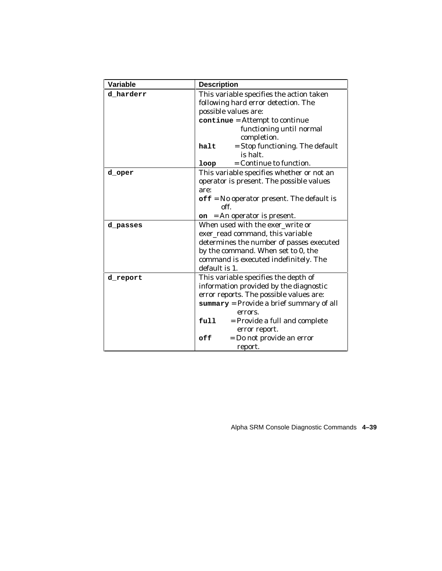| Variable  | <b>Description</b>                                         |
|-----------|------------------------------------------------------------|
| d harderr | This variable specifies the action taken                   |
|           | following hard error detection. The                        |
|           | possible values are:                                       |
|           | continue = Attempt to continue                             |
|           | functioning until normal                                   |
|           | completion.                                                |
|           | = Stop functioning. The default<br>halt<br>is halt.        |
|           | = Continue to function.<br>loop                            |
| d oper    | This variable specifies whether or not an                  |
|           | operator is present. The possible values                   |
|           | are:                                                       |
|           | $\texttt{off}$ = No operator present. The default is       |
|           | off.                                                       |
|           | $on$ = An operator is present.                             |
| d passes  | When used with the exer write or                           |
|           | exer_read command, this variable                           |
|           | determines the number of passes executed                   |
|           | by the command. When set to 0, the                         |
|           | command is executed indefinitely. The                      |
|           | default is 1.                                              |
| d_report  | This variable specifies the depth of                       |
|           | information provided by the diagnostic                     |
|           | error reports. The possible values are:                    |
|           | $\texttt{summary} = \text{Provide a brief summary of all}$ |
|           | errors.                                                    |
|           | full<br>= Provide a full and complete                      |
|           | error report.                                              |
|           | = Do not provide an error<br>off                           |
|           | report.                                                    |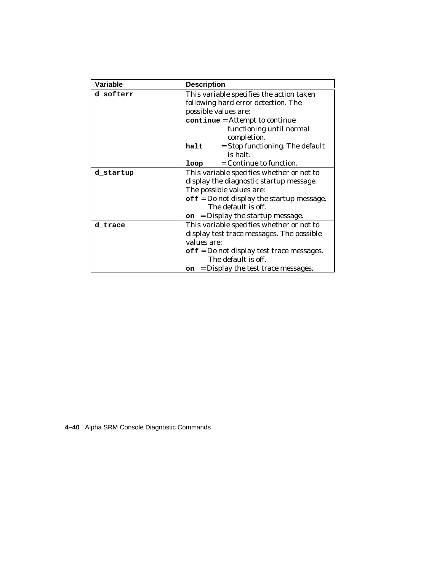| <b>Variable</b> | <b>Description</b>                                            |  |  |
|-----------------|---------------------------------------------------------------|--|--|
| d softerr       | This variable specifies the action taken                      |  |  |
|                 | following hard error detection. The                           |  |  |
|                 | possible values are:                                          |  |  |
|                 | continue = Attempt to continue                                |  |  |
|                 | functioning until normal                                      |  |  |
|                 | completion.                                                   |  |  |
|                 | = Stop functioning. The default<br>halt                       |  |  |
|                 | is halt.                                                      |  |  |
|                 | = Continue to function.<br>loop                               |  |  |
| d startup       | This variable specifies whether or not to                     |  |  |
|                 | display the diagnostic startup message.                       |  |  |
|                 | The possible values are:                                      |  |  |
|                 | $\texttt{off} = \texttt{Do}$ not display the startup message. |  |  |
|                 | The default is off.                                           |  |  |
|                 | = Display the startup message.<br>on                          |  |  |
| d_trace         | This variable specifies whether or not to                     |  |  |
|                 | display test trace messages. The possible                     |  |  |
|                 | values are:                                                   |  |  |
|                 | $\text{off}$ = Do not display test trace messages.            |  |  |
|                 | The default is off.                                           |  |  |
|                 | = Display the test trace messages.<br>on.                     |  |  |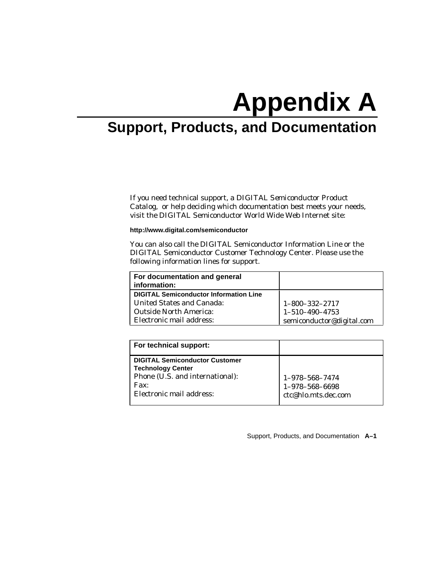# **Appendix A**

# **Support, Products, and Documentation**

If you need technical support, a *DIGITAL Semiconductor Product Catalog*, or help deciding which documentation best meets your needs, visit the DIGITAL Semiconductor World Wide Web Internet site:

**http://www.digital.com/semiconductor**

You can also call the DIGITAL Semiconductor Information Line or the DIGITAL Semiconductor Customer Technology Center. Please use the following information lines for support.

| For documentation and general<br>information: |                           |
|-----------------------------------------------|---------------------------|
| <b>DIGITAL Semiconductor Information Line</b> |                           |
| <b>United States and Canada:</b>              | 1-800-332-2717            |
| <b>Outside North America:</b>                 | $1 - 510 - 490 - 4753$    |
| Electronic mail address:                      | semiconductor@digital.com |

| For technical support:                                                                                                                               |                                                                 |
|------------------------------------------------------------------------------------------------------------------------------------------------------|-----------------------------------------------------------------|
| <b>DIGITAL Semiconductor Customer</b><br><b>Technology Center</b><br>Phone (U.S. and international):<br>$\mathbf{Fax}$ :<br>Electronic mail address: | $1 - 978 - 568 - 7474$<br>1-978-568-6698<br>ctc@hlo.mts.dec.com |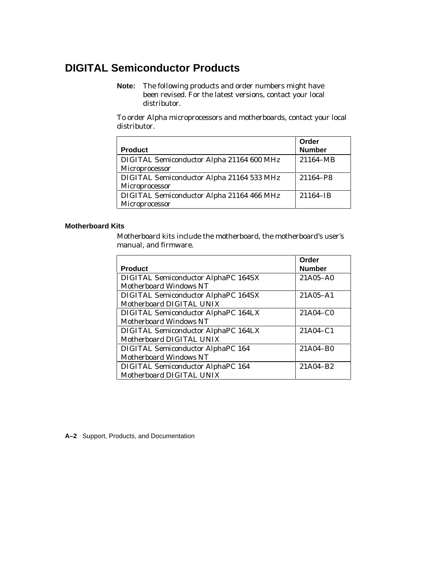# **DIGITAL Semiconductor Products**

**Note:** The following products and order numbers might have been revised. For the latest versions, contact your local distributor.

To order Alpha microprocessors and motherboards, contact your local distributor.

|                                           | Order         |
|-------------------------------------------|---------------|
| <b>Product</b>                            | <b>Number</b> |
| DIGITAL Semiconductor Alpha 21164 600 MHz | 21164-MB      |
| Microprocessor                            |               |
| DIGITAL Semiconductor Alpha 21164 533 MHz | 21164-P8      |
| Microprocessor                            |               |
| DIGITAL Semiconductor Alpha 21164 466 MHz | 21164-IB      |
| Microprocessor                            |               |

#### **Motherboard Kits**

Motherboard kits include the motherboard, the motherboard's user's manual, and firmware.

| <b>Product</b>                                                              | Order<br><b>Number</b> |
|-----------------------------------------------------------------------------|------------------------|
| <b>DIGITAL Semiconductor AlphaPC 164SX</b><br><b>Motherboard Windows NT</b> | $21A05 - A0$           |
| <b>DIGITAL Semiconductor AlphaPC 164SX</b><br>Motherboard DIGITAL UNIX      | $21A05 - A1$           |
| DIGITAL Semiconductor AlphaPC 164LX<br>Motherboard Windows NT               | 21A04-C0               |
| DIGITAL Semiconductor AlphaPC 164LX<br>Motherboard DIGITAL UNIX             | $21A04-C1$             |
| <b>DIGITAL Semiconductor AlphaPC 164</b><br><b>Motherboard Windows NT</b>   | 21A04-B0               |
| <b>DIGITAL Semiconductor AlphaPC 164</b><br>Motherboard DIGITAL UNIX        | 21A04-B2               |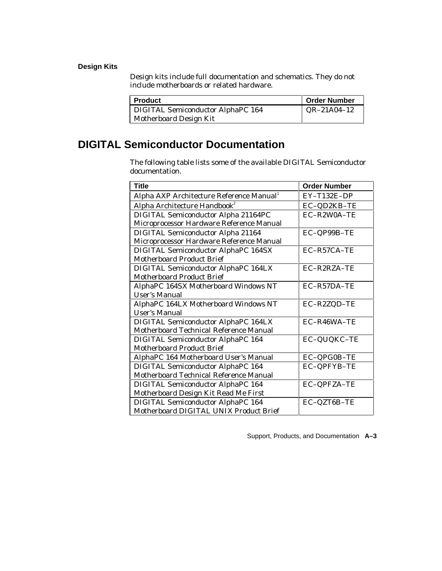## **Design Kits**

Design kits include full documentation and schematics. They do not include motherboards or related hardware.

| Product                           | <b>Order Number</b> |
|-----------------------------------|---------------------|
| DIGITAL Semiconductor AlphaPC 164 | $QR-21A04-12$       |
| Motherboard Design Kit            |                     |

# **DIGITAL Semiconductor Documentation**

The following table lists some of the available DIGITAL Semiconductor documentation.

| <b>Title</b>                                         | <b>Order Number</b> |
|------------------------------------------------------|---------------------|
| Alpha AXP Architecture Reference Manual <sup>1</sup> | $EY-T132E-DP$       |
| Alpha Architecture Handbook <sup>2</sup>             | EC-QD2KB-TE         |
| DIGITAL Semiconductor Alpha 21164PC                  | EC-R2W0A-TE         |
| Microprocessor Hardware Reference Manual             |                     |
| <b>DIGITAL Semiconductor Alpha 21164</b>             | EC-QP99B-TE         |
| Microprocessor Hardware Reference Manual             |                     |
| <b>DIGITAL Semiconductor AlphaPC 164SX</b>           | EC-R57CA-TE         |
| <b>Motherboard Product Brief</b>                     |                     |
| DIGITAL Semiconductor AlphaPC 164LX                  | EC-R2RZA-TE         |
| <b>Motherboard Product Brief</b>                     |                     |
| AlphaPC 164SX Motherboard Windows NT                 | EC-R57DA-TE         |
| <b>User's Manual</b>                                 |                     |
| AlphaPC 164LX Motherboard Windows NT                 | EC-R2ZQD-TE         |
| <b>User's Manual</b>                                 |                     |
| DIGITAL Semiconductor AlphaPC 164LX                  | EC-R46WA-TE         |
| Motherboard Technical Reference Manual               |                     |
| <b>DIGITAL Semiconductor AlphaPC 164</b>             | EC-QUQKC-TE         |
| <b>Motherboard Product Brief</b>                     |                     |
| AlphaPC 164 Motherboard User's Manual                | EC-QPG0B-TE         |
| <b>DIGITAL Semiconductor AlphaPC 164</b>             | <b>EC-QPFYB-TE</b>  |
| Motherboard Technical Reference Manual               |                     |
| <b>DIGITAL Semiconductor AlphaPC 164</b>             | EC-QPFZA-TE         |
| Motherboard Design Kit Read Me First                 |                     |
| <b>DIGITAL Semiconductor AlphaPC 164</b>             | EC-QZT6B-TE         |
| Motherboard DIGITAL UNIX Product Brief               |                     |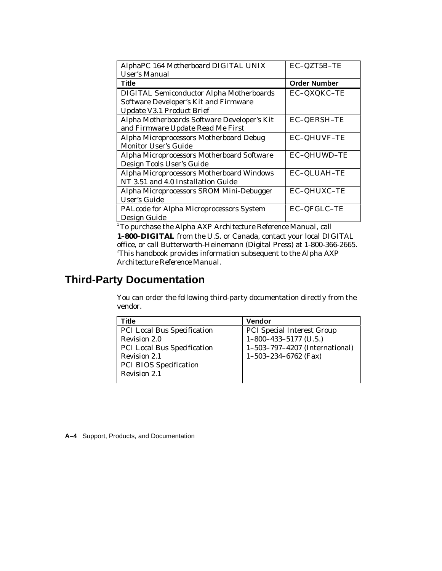| AlphaPC 164 Motherboard DIGITAL UNIX            | EC-QZT5B-TE         |
|-------------------------------------------------|---------------------|
| <b>User's Manual</b>                            |                     |
| Title                                           | <b>Order Number</b> |
| <b>DIGITAL Semiconductor Alpha Motherboards</b> | EC-QXQKC-TE         |
| Software Developer's Kit and Firmware           |                     |
| <b>Update V3.1 Product Brief</b>                |                     |
| Alpha Motherboards Software Developer's Kit     | EC-QERSH-TE         |
| and Firmware Update Read Me First               |                     |
| Alpha Microprocessors Motherboard Debug         | <b>EC-QHUVF-TE</b>  |
| <b>Monitor User's Guide</b>                     |                     |
| Alpha Microprocessors Motherboard Software      | EC-QHUWD-TE         |
| Design Tools User's Guide                       |                     |
| Alpha Microprocessors Motherboard Windows       | EC-QLUAH-TE         |
| NT 3.51 and 4.0 Installation Guide              |                     |
| Alpha Microprocessors SROM Mini-Debugger        | EC-QHUXC-TE         |
| <b>User's Guide</b>                             |                     |
| PALcode for Alpha Microprocessors System        | EC-QFGLC-TE         |
| Design Guide                                    |                     |

1 To purchase the *Alpha AXP Architecture Reference Manual*, call **1–800–DIGITAL** from the U.S. or Canada, contact your local DIGITAL office, or call Butterworth-Heinemann (Digital Press) at 1-800-366-2665. 2 This handbook provides information subsequent to the *Alpha AXP Architecture Reference Manual*.

# **Third-Party Documentation**

You can order the following third-party documentation directly from the vendor.

| Title                              | <b>Vendor</b>                     |
|------------------------------------|-----------------------------------|
| <b>PCI Local Bus Specification</b> | <b>PCI Special Interest Group</b> |
| Revision 2.0                       | $1-800-433-5177$ (U.S.)           |
| <b>PCI Local Bus Specification</b> | 1-503-797-4207 (International)    |
| <b>Revision 2.1</b>                | $1-503-234-6762$ (Fax)            |
| <b>PCI BIOS Specification</b>      |                                   |
| <b>Revision 2.1</b>                |                                   |
|                                    |                                   |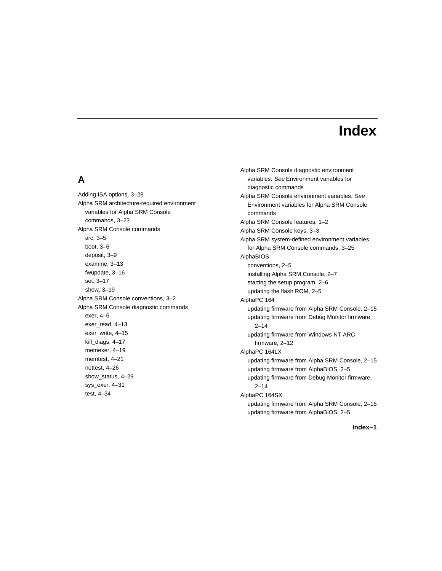# **Index**

# **A**

Adding ISA options, 3–28 Alpha SRM architecture-required environment variables for Alpha SRM Console commands, 3–23 Alpha SRM Console commands arc, 3–5 boot, 3–6 deposit, 3–9 examine, 3–13 fwupdate, 3–16 set, 3–17 show, 3–19 Alpha SRM Console conventions, 3–2 Alpha SRM Console diagnostic commands exer, 4–6 exer\_read, 4–13 exer\_write, 4–15 kill\_diags, 4–17 memexer, 4–19 memtest, 4–21 nettest, 4–26 show\_status, 4–29 sys\_exer, 4–31 test, 4–34

Alpha SRM Console diagnostic environment variables. See Environment variables for diagnostic commands Alpha SRM Console environment variables. See Environment variables for Alpha SRM Console commands Alpha SRM Console features, 1–2 Alpha SRM Console keys, 3–3 Alpha SRM system-defined environment variables for Alpha SRM Console commands, 3–25 AlphaBIOS conventions, 2–5 installing Alpha SRM Console, 2–7 starting the setup program, 2–6 updating the flash ROM, 2–5 AlphaPC 164 updating firmware from Alpha SRM Console, 2–15 updating firmware from Debug Monitor firmware,  $2 - 14$ updating firmware from Windows NT ARC firmware, 2–12 AlphaPC 164LX updating firmware from Alpha SRM Console, 2–15 updating firmware from AlphaBIOS, 2–5 updating firmware from Debug Monitor firmware,  $2 - 14$ AlphaPC 164SX updating firmware from Alpha SRM Console, 2–15 updating firmware from AlphaBIOS, 2–5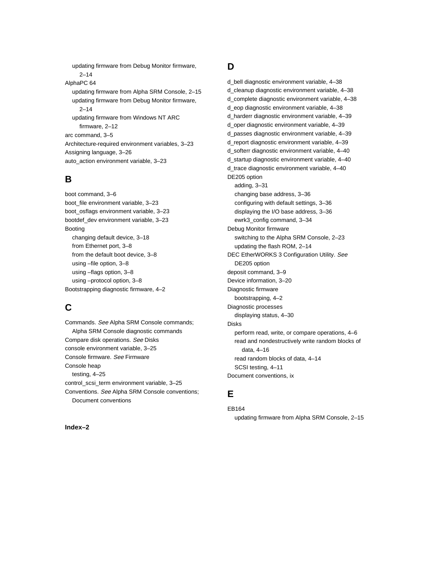updating firmware from Debug Monitor firmware, 2–14 AlphaPC 64 updating firmware from Alpha SRM Console, 2–15 updating firmware from Debug Monitor firmware, 2–14 updating firmware from Windows NT ARC firmware, 2–12 arc command, 3–5 Architecture-required environment variables, 3–23 Assigning language, 3–26 auto\_action environment variable, 3–23

# **B**

boot command, 3–6 boot\_file environment variable, 3–23 boot\_osflags environment variable, 3–23 bootdef\_dev environment variable, 3–23 Booting changing default device, 3–18 from Ethernet port, 3–8 from the default boot device, 3–8 using –file option, 3–8 using –flags option, 3–8 using –protocol option, 3–8 Bootstrapping diagnostic firmware, 4–2

# **C**

Commands. See Alpha SRM Console commands; Alpha SRM Console diagnostic commands Compare disk operations. See Disks console environment variable, 3–25 Console firmware. See Firmware Console heap testing, 4–25 control\_scsi\_term environment variable, 3–25 Conventions. See Alpha SRM Console conventions; Document conventions

# **D**

d\_bell diagnostic environment variable, 4–38 d\_cleanup diagnostic environment variable, 4–38 d\_complete diagnostic environment variable, 4–38 d\_eop diagnostic environment variable, 4–38 d\_harderr diagnostic environment variable, 4–39 d\_oper diagnostic environment variable, 4–39 d\_passes diagnostic environment variable, 4–39 d\_report diagnostic environment variable, 4–39 d\_softerr diagnostic environment variable, 4–40 d\_startup diagnostic environment variable, 4–40 d\_trace diagnostic environment variable, 4–40 DE205 option adding, 3–31 changing base address, 3–36 configuring with default settings, 3–36 displaying the I/O base address, 3–36 ewrk3\_config command, 3–34 Debug Monitor firmware switching to the Alpha SRM Console, 2–23 updating the flash ROM, 2–14 DEC EtherWORKS 3 Configuration Utility. See DE205 option deposit command, 3–9 Device information, 3–20 Diagnostic firmware bootstrapping, 4–2 Diagnostic processes displaying status, 4–30 Disks perform read, write, or compare operations, 4–6 read and nondestructively write random blocks of data, 4–16 read random blocks of data, 4–14 SCSI testing, 4–11 Document conventions, ix

# **E**

EB164 updating firmware from Alpha SRM Console, 2–15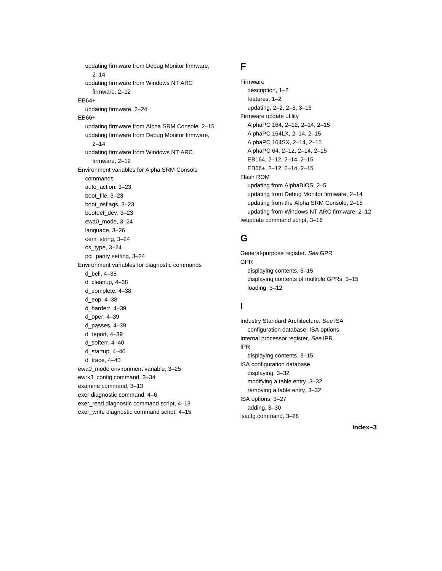updating firmware from Debug Monitor firmware, 2–14 updating firmware from Windows NT ARC firmware, 2–12 EB64+ updating firmware, 2–24 EB66+ updating firmware from Alpha SRM Console, 2–15 updating firmware from Debug Monitor firmware, 2–14 updating firmware from Windows NT ARC firmware, 2–12 Environment variables for Alpha SRM Console commands auto\_action, 3–23 boot\_file, 3–23 boot\_osflags, 3–23 bootdef\_dev, 3–23 ewa0\_mode, 3–24 language, 3–26 oem\_string, 3–24 os\_type, 3–24 pci\_parity setting, 3–24 Environment variables for diagnostic commands d\_bell, 4–38 d\_cleanup, 4–38 d\_complete, 4–38 d\_eop, 4–38 d\_harderr, 4–39 d\_oper, 4–39 d\_passes, 4–39 d\_report, 4–39 d\_softerr, 4–40 d\_startup, 4–40 d trace,  $4-40$ ewa0\_mode environment variable, 3–25 ewrk3\_config command, 3–34 examine command, 3–13 exer diagnostic command, 4–6 exer\_read diagnostic command script, 4–13 exer\_write diagnostic command script, 4–15

# **F**

Firmware description, 1–2 features, 1–2 updating, 2–2, 2–3, 3–16 Firmware update utility AlphaPC 164, 2–12, 2–14, 2–15 AlphaPC 164LX, 2–14, 2–15 AlphaPC 164SX, 2–14, 2–15 AlphaPC 64, 2–12, 2–14, 2–15 EB164, 2–12, 2–14, 2–15 EB66+, 2–12, 2–14, 2–15 Flash ROM updating from AlphaBIOS, 2–5 updating from Debug Monitor firmware, 2–14 updating from the Alpha SRM Console, 2–15 updating from Windows NT ARC firmware, 2–12 fwupdate command script, 3–16

# **G**

General-purpose register. See GPR GPR displaying contents, 3–15 displaying contents of multiple GPRs, 3–15 loading, 3–12

# **I**

Industry Standard Architecture. See ISA configuration database; ISA options Internal processor register. See IPR IPR displaying contents, 3–15 ISA configuration database displaying, 3–32 modifying a table entry, 3–32 removing a table entry, 3–32 ISA options, 3–27 adding, 3–30 isacfg command, 3–28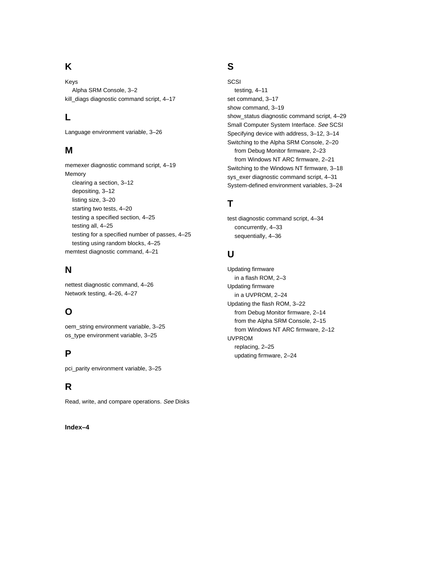# **K**

Keys Alpha SRM Console, 3–2 kill\_diags diagnostic command script, 4–17

# **L**

Language environment variable, 3–26

#### **M**

memexer diagnostic command script, 4–19 clearing a section, 3–12 depositing, 3–12 listing size, 3–20 starting two tests, 4–20 testing a specified section, 4–25 testing all, 4–25 testing using random blocks, 4–25 memtest diagnostic command, 4–21

# **N**

Network testing, 4–26, 4–27

# **O**

oem\_string environment variable, 3–25 os\_type environment variable, 3–25

## **P**

pci\_parity environment variable, 3–25

# **R**

Read, write, and compare operations. See Disks

Memory testing for a specified number of passes, 4–25

nettest diagnostic command, 4–26

# **S**

**SCSI** testing, 4–11 set command, 3–17 show command, 3–19 show\_status diagnostic command script, 4–29 Small Computer System Interface. See SCSI Specifying device with address, 3–12, 3–14 Switching to the Alpha SRM Console, 2–20 from Debug Monitor firmware, 2–23 from Windows NT ARC firmware, 2–21 Switching to the Windows NT firmware, 3–18 sys\_exer diagnostic command script, 4–31 System-defined environment variables, 3–24

# **T**

test diagnostic command script, 4–34 concurrently, 4–33 sequentially, 4–36

# **U**

Updating firmware in a flash ROM, 2–3 Updating firmware in a UVPROM, 2–24 Updating the flash ROM, 3–22 from Debug Monitor firmware, 2–14 from the Alpha SRM Console, 2–15 from Windows NT ARC firmware, 2–12 UVPROM replacing, 2–25 updating firmware, 2–24

#### **Index–4**